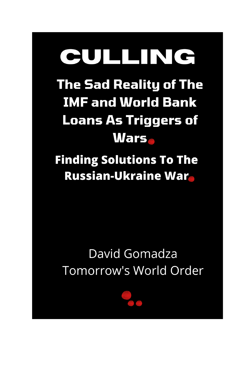# CULLING

**The Sad Reality of The IMF and World Bank Loans As Triggers of Wars** 

**Finding Solutions To The Russian-Ukraine War** 

### David Gomadza Tomorrow's World Order

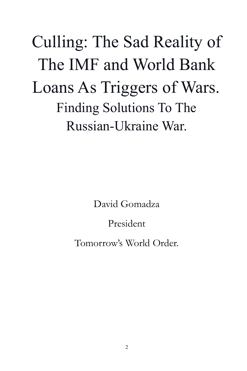## Culling: The Sad Reality of The IMF and World Bank Loans As Triggers of Wars. Finding Solutions To The Russian-Ukraine War.

David Gomadza

#### President

Tomorrow's World Order.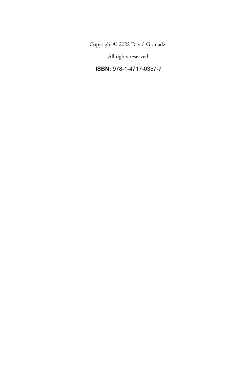Copyright © 2022 David Gomadza

All rights reserved.

**ISBN:** 978-1-4717-0357-7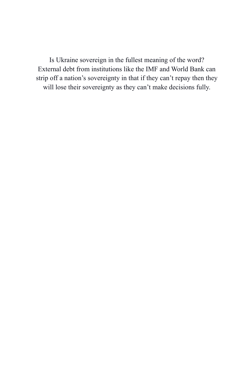Is Ukraine sovereign in the fullest meaning of the word? External debt from institutions like the IMF and World Bank can strip off a nation's sovereignty in that if they can't repay then they will lose their sovereignty as they can't make decisions fully.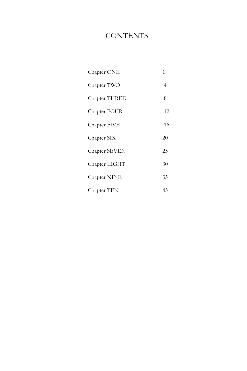#### **CONTENTS**

| 1  |
|----|
| 4  |
| 8  |
| 12 |
| 16 |
| 20 |
| 25 |
| 30 |
| 35 |
| 43 |
|    |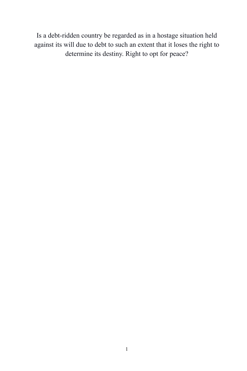Is a debt-ridden country be regarded as in a hostage situation held against its will due to debt to such an extent that it loses the right to determine its destiny. Right to opt for peace?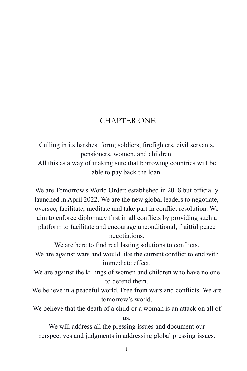#### CHAPTER ONE

Culling in its harshest form; soldiers, firefighters, civil servants, pensioners, women, and children.

All this as a way of making sure that borrowing countries will be able to pay back the loan.

We are Tomorrow's World Order; established in 2018 but officially launched in April 2022. We are the new global leaders to negotiate, oversee, facilitate, meditate and take part in conflict resolution. We aim to enforce diplomacy first in all conflicts by providing such a platform to facilitate and encourage unconditional, fruitful peace negotiations.

We are here to find real lasting solutions to conflicts.

We are against wars and would like the current conflict to end with immediate effect.

We are against the killings of women and children who have no one to defend them.

- We believe in a peaceful world. Free from wars and conflicts. We are tomorrow's world.
- We believe that the death of a child or a woman is an attack on all of us.

We will address all the pressing issues and document our perspectives and judgments in addressing global pressing issues.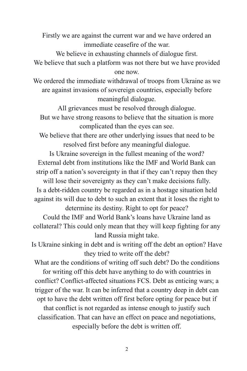Firstly we are against the current war and we have ordered an immediate ceasefire of the war.

We believe in exhausting channels of dialogue first.

We believe that such a platform was not there but we have provided one now.

We ordered the immediate withdrawal of troops from Ukraine as we are against invasions of sovereign countries, especially before meaningful dialogue.

All grievances must be resolved through dialogue. But we have strong reasons to believe that the situation is more complicated than the eyes can see.

We believe that there are other underlying issues that need to be resolved first before any meaningful dialogue.

Is Ukraine sovereign in the fullest meaning of the word? External debt from institutions like the IMF and World Bank can strip off a nation's sovereignty in that if they can't repay then they

will lose their sovereignty as they can't make decisions fully. Is a debt-ridden country be regarded as in a hostage situation held against its will due to debt to such an extent that it loses the right to determine its destiny. Right to opt for peace?

Could the IMF and World Bank's loans have Ukraine land as collateral? This could only mean that they will keep fighting for any land Russia might take.

Is Ukraine sinking in debt and is writing off the debt an option? Have they tried to write off the debt?

What are the conditions of writing off such debt? Do the conditions for writing off this debt have anything to do with countries in

conflict? Conflict-affected situations FCS. Debt as enticing wars; a trigger of the war. It can be inferred that a country deep in debt can opt to have the debt written off first before opting for peace but if

that conflict is not regarded as intense enough to justify such classification. That can have an effect on peace and negotiations, especially before the debt is written off.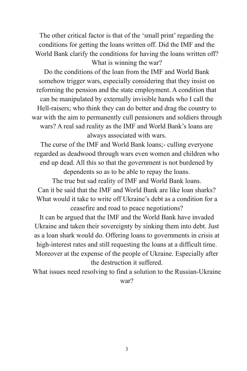The other critical factor is that of the 'small print' regarding the conditions for getting the loans written off. Did the IMF and the World Bank clarify the conditions for having the loans written off? What is winning the war?

Do the conditions of the loan from the IMF and World Bank somehow trigger wars, especially considering that they insist on reforming the pension and the state employment. A condition that can be manipulated by externally invisible hands who I call the Hell-raisers; who think they can do better and drag the country to war with the aim to permanently cull pensioners and soldiers through wars? A real sad reality as the IMF and World Bank's loans are always associated with wars.

The curse of the IMF and World Bank loans;- culling everyone regarded as deadwood through wars even women and children who end up dead. All this so that the government is not burdened by dependents so as to be able to repay the loans. The true but sad reality of IMF and World Bank loans. Can it be said that the IMF and World Bank are like loan sharks? What would it take to write off Ukraine's debt as a condition for a

ceasefire and road to peace negotiations?

It can be argued that the IMF and the World Bank have invaded Ukraine and taken their sovereignty by sinking them into debt. Just as a loan shark would do. Offering loans to governments in crisis at high-interest rates and still requesting the loans at a difficult time. Moreover at the expense of the people of Ukraine. Especially after the destruction it suffered.

What issues need resolving to find a solution to the Russian-Ukraine war?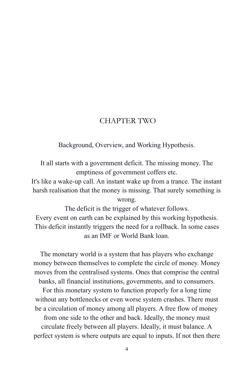#### CHAPTER TWO

Background, Overview, and Working Hypothesis.

It all starts with a government deficit. The missing money. The emptiness of government coffers etc.

It's like a wake-up call. An instant wake up from a trance. The instant harsh realisation that the money is missing. That surely something is wrong.

The deficit is the trigger of whatever follows. Every event on earth can be explained by this working hypothesis. This deficit instantly triggers the need for a rollback. In some cases as an IMF or World Bank loan.

The monetary world is a system that has players who exchange money between themselves to complete the circle of money. Money moves from the centralised systems. Ones that comprise the central banks, all financial institutions, governments, and to consumers.

For this monetary system to function properly for a long time without any bottlenecks or even worse system crashes. There must be a circulation of money among all players. A free flow of money from one side to the other and back. Ideally, the money must circulate freely between all players. Ideally, it must balance. A perfect system is where outputs are equal to inputs. If not then there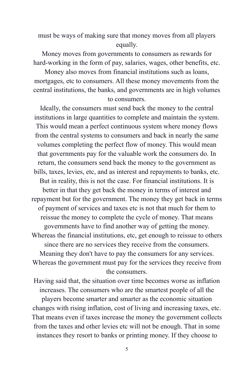must be ways of making sure that money moves from all players equally.

Money moves from governments to consumers as rewards for hard-working in the form of pay, salaries, wages, other benefits, etc.

Money also moves from financial institutions such as loans, mortgages, etc to consumers. All these money movements from the central institutions, the banks, and governments are in high volumes to consumers.

Ideally, the consumers must send back the money to the central institutions in large quantities to complete and maintain the system. This would mean a perfect continuous system where money flows from the central systems to consumers and back in nearly the same volumes completing the perfect flow of money. This would mean that governments pay for the valuable work the consumers do. In return, the consumers send back the money to the government as bills, taxes, levies, etc, and as interest and repayments to banks, etc. But in reality, this is not the case. For financial institutions. It is better in that they get back the money in terms of interest and repayment but for the government. The money they get back in terms of payment of services and taxes etc is not that much for them to reissue the money to complete the cycle of money. That means governments have to find another way of getting the money. Whereas the financial institutions, etc, get enough to reissue to others since there are no services they receive from the consumers. Meaning they don't have to pay the consumers for any services. Whereas the government must pay for the services they receive from the consumers.

Having said that, the situation over time becomes worse as inflation increases. The consumers who are the smartest people of all the players become smarter and smarter as the economic situation changes with rising inflation, cost of living and increasing taxes, etc. That means even if taxes increase the money the government collects from the taxes and other levies etc will not be enough. That in some instances they resort to banks or printing money. If they choose to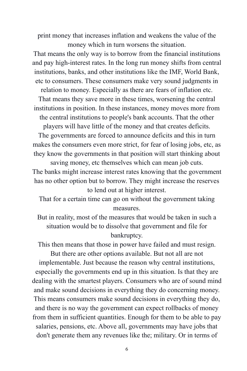print money that increases inflation and weakens the value of the money which in turn worsens the situation.

That means the only way is to borrow from the financial institutions and pay high-interest rates. In the long run money shifts from central institutions, banks, and other institutions like the IMF, World Bank, etc to consumers. These consumers make very sound judgments in

relation to money. Especially as there are fears of inflation etc. That means they save more in these times, worsening the central

institutions in position. In these instances, money moves more from the central institutions to people's bank accounts. That the other

players will have little of the money and that creates deficits.

The governments are forced to announce deficits and this in turn makes the consumers even more strict, for fear of losing jobs, etc, as they know the governments in that position will start thinking about

saving money, etc themselves which can mean job cuts. The banks might increase interest rates knowing that the government has no other option but to borrow. They might increase the reserves to lend out at higher interest.

That for a certain time can go on without the government taking measures.

But in reality, most of the measures that would be taken in such a situation would be to dissolve that government and file for bankruptcy.

This then means that those in power have failed and must resign. But there are other options available. But not all are not implementable. Just because the reason why central institutions, especially the governments end up in this situation. Is that they are dealing with the smartest players. Consumers who are of sound mind and make sound decisions in everything they do concerning money. This means consumers make sound decisions in everything they do, and there is no way the government can expect rollbacks of money from them in sufficient quantities. Enough for them to be able to pay salaries, pensions, etc. Above all, governments may have jobs that don't generate them any revenues like the; military. Or in terms of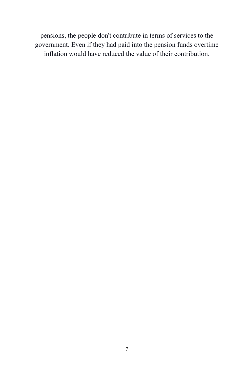pensions, the people don't contribute in terms of services to the government. Even if they had paid into the pension funds overtime inflation would have reduced the value of their contribution.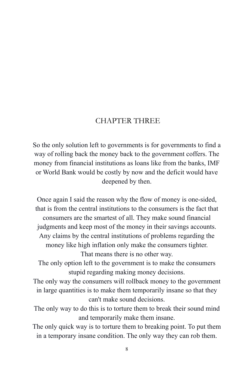#### CHAPTER THREE

So the only solution left to governments is for governments to find a way of rolling back the money back to the government coffers. The money from financial institutions as loans like from the banks, IMF or World Bank would be costly by now and the deficit would have deepened by then.

Once again I said the reason why the flow of money is one-sided, that is from the central institutions to the consumers is the fact that consumers are the smartest of all. They make sound financial judgments and keep most of the money in their savings accounts. Any claims by the central institutions of problems regarding the money like high inflation only make the consumers tighter. That means there is no other way. The only option left to the government is to make the consumers stupid regarding making money decisions. The only way the consumers will rollback money to the government in large quantities is to make them temporarily insane so that they can't make sound decisions. The only way to do this is to torture them to break their sound mind and temporarily make them insane.

The only quick way is to torture them to breaking point. To put them in a temporary insane condition. The only way they can rob them.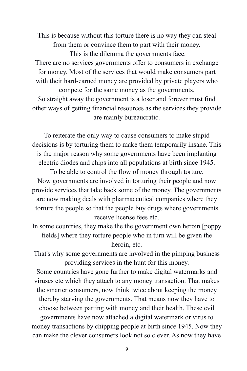This is because without this torture there is no way they can steal from them or convince them to part with their money. This is the dilemma the governments face. There are no services governments offer to consumers in exchange for money. Most of the services that would make consumers part with their hard-earned money are provided by private players who compete for the same money as the governments. So straight away the government is a loser and forever must find other ways of getting financial resources as the services they provide

are mainly bureaucratic.

To reiterate the only way to cause consumers to make stupid decisions is by torturing them to make them temporarily insane. This is the major reason why some governments have been implanting electric diodes and chips into all populations at birth since 1945.

To be able to control the flow of money through torture. Now governments are involved in torturing their people and now provide services that take back some of the money. The governments are now making deals with pharmaceutical companies where they torture the people so that the people buy drugs where governments receive license fees etc.

In some countries, they make the the government own heroin [poppy fields] where they torture people who in turn will be given the heroin, etc.

That's why some governments are involved in the pimping business providing services in the hunt for this money.

Some countries have gone further to make digital watermarks and viruses etc which they attach to any money transaction. That makes the smarter consumers, now think twice about keeping the money thereby starving the governments. That means now they have to choose between parting with money and their health. These evil

governments have now attached a digital watermark or virus to money transactions by chipping people at birth since 1945. Now they can make the clever consumers look not so clever. As now they have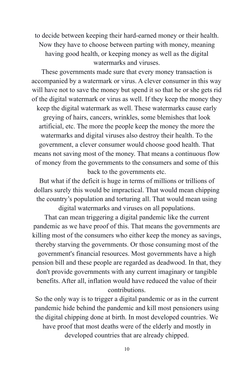to decide between keeping their hard-earned money or their health. Now they have to choose between parting with money, meaning having good health, or keeping money as well as the digital watermarks and viruses.

These governments made sure that every money transaction is accompanied by a watermark or virus. A clever consumer in this way will have not to save the money but spend it so that he or she gets rid of the digital watermark or virus as well. If they keep the money they keep the digital watermark as well. These watermarks cause early greying of hairs, cancers, wrinkles, some blemishes that look artificial, etc. The more the people keep the money the more the watermarks and digital viruses also destroy their health. To the government, a clever consumer would choose good health. That means not saving most of the money. That means a continuous flow of money from the governments to the consumers and some of this back to the governments etc.

But what if the deficit is huge in terms of millions or trillions of dollars surely this would be impractical. That would mean chipping the country's population and torturing all. That would mean using digital watermarks and viruses on all populations.

That can mean triggering a digital pandemic like the current pandemic as we have proof of this. That means the governments are killing most of the consumers who either keep the money as savings, thereby starving the governments. Or those consuming most of the government's financial resources. Most governments have a high pension bill and these people are regarded as deadwood. In that, they don't provide governments with any current imaginary or tangible benefits. After all, inflation would have reduced the value of their contributions.

So the only way is to trigger a digital pandemic or as in the current pandemic hide behind the pandemic and kill most pensioners using the digital chipping done at birth. In most developed countries. We have proof that most deaths were of the elderly and mostly in developed countries that are already chipped.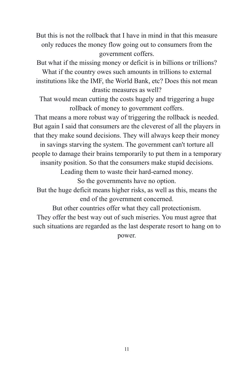But this is not the rollback that I have in mind in that this measure only reduces the money flow going out to consumers from the government coffers.

But what if the missing money or deficit is in billions or trillions?

What if the country owes such amounts in trillions to external institutions like the IMF, the World Bank, etc? Does this not mean drastic measures as well?

That would mean cutting the costs hugely and triggering a huge rollback of money to government coffers.

That means a more robust way of triggering the rollback is needed. But again I said that consumers are the cleverest of all the players in that they make sound decisions. They will always keep their money

in savings starving the system. The government can't torture all people to damage their brains temporarily to put them in a temporary

insanity position. So that the consumers make stupid decisions.

Leading them to waste their hard-earned money.

So the governments have no option.

But the huge deficit means higher risks, as well as this, means the end of the government concerned.

But other countries offer what they call protectionism.

They offer the best way out of such miseries. You must agree that such situations are regarded as the last desperate resort to hang on to power.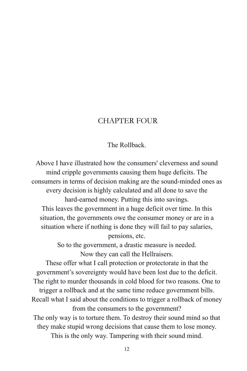#### CHAPTER FOUR

#### The Rollback.

Above I have illustrated how the consumers' cleverness and sound mind cripple governments causing them huge deficits. The consumers in terms of decision making are the sound-minded ones as every decision is highly calculated and all done to save the hard-earned money. Putting this into savings. This leaves the government in a huge deficit over time. In this situation, the governments owe the consumer money or are in a situation where if nothing is done they will fail to pay salaries, pensions, etc. So to the government, a drastic measure is needed. Now they can call the Hellraisers. These offer what I call protection or protectorate in that the government's sovereignty would have been lost due to the deficit. The right to murder thousands in cold blood for two reasons. One to trigger a rollback and at the same time reduce government bills. Recall what I said about the conditions to trigger a rollback of money from the consumers to the government? The only way is to torture them. To destroy their sound mind so that they make stupid wrong decisions that cause them to lose money. This is the only way. Tampering with their sound mind.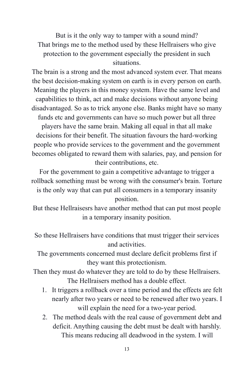But is it the only way to tamper with a sound mind? That brings me to the method used by these Hellraisers who give protection to the government especially the president in such situations.

The brain is a strong and the most advanced system ever. That means the best decision-making system on earth is in every person on earth. Meaning the players in this money system. Have the same level and capabilities to think, act and make decisions without anyone being disadvantaged. So as to trick anyone else. Banks might have so many funds etc and governments can have so much power but all three players have the same brain. Making all equal in that all make decisions for their benefit. The situation favours the hard-working people who provide services to the government and the government becomes obligated to reward them with salaries, pay, and pension for their contributions, etc.

For the government to gain a competitive advantage to trigger a rollback something must be wrong with the consumer's brain. Torture is the only way that can put all consumers in a temporary insanity

position.

But these Hellraisesrs have another method that can put most people in a temporary insanity position.

So these Hellraisers have conditions that must trigger their services and activities.

The governments concerned must declare deficit problems first if they want this protectionism.

Then they must do whatever they are told to do by these Hellraisers. The Hellraisers method has a double effect.

- 1. It triggers a rollback over a time period and the effects are felt nearly after two years or need to be renewed after two years. I will explain the need for a two-year period.
- 2. The method deals with the real cause of government debt and deficit. Anything causing the debt must be dealt with harshly. This means reducing all deadwood in the system. I will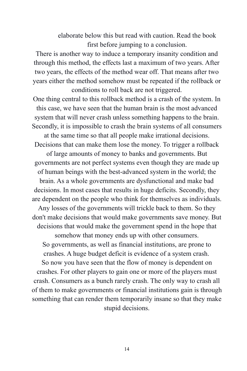elaborate below this but read with caution. Read the book first before jumping to a conclusion.

There is another way to induce a temporary insanity condition and through this method, the effects last a maximum of two years. After two years, the effects of the method wear off. That means after two years either the method somehow must be repeated if the rollback or conditions to roll back are not triggered.

One thing central to this rollback method is a crash of the system. In this case, we have seen that the human brain is the most advanced system that will never crash unless something happens to the brain. Secondly, it is impossible to crash the brain systems of all consumers

at the same time so that all people make irrational decisions. Decisions that can make them lose the money. To trigger a rollback

of large amounts of money to banks and governments. But governments are not perfect systems even though they are made up of human beings with the best-advanced system in the world; the brain. As a whole governments are dysfunctional and make bad decisions. In most cases that results in huge deficits. Secondly, they are dependent on the people who think for themselves as individuals. Any losses of the governments will trickle back to them. So they don't make decisions that would make governments save money. But decisions that would make the government spend in the hope that somehow that money ends up with other consumers. So governments, as well as financial institutions, are prone to crashes. A huge budget deficit is evidence of a system crash. So now you have seen that the flow of money is dependent on crashes. For other players to gain one or more of the players must crash. Consumers as a bunch rarely crash. The only way to crash all of them to make governments or financial institutions gain is through something that can render them temporarily insane so that they make

stupid decisions.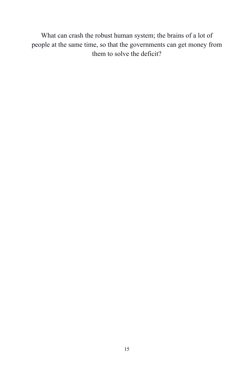What can crash the robust human system; the brains of a lot of people at the same time, so that the governments can get money from them to solve the deficit?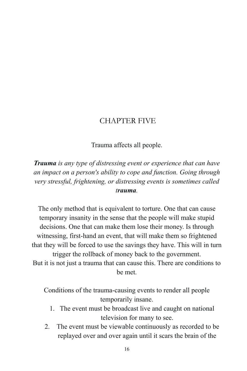#### CHAPTER FIVE

Trauma affects all people.

*Trauma is any type of distressing event or experience that can have an impact on a person's ability to cope and function. Going through very stressful, frightening, or distressing events is sometimes called trauma.*

The only method that is equivalent to torture. One that can cause temporary insanity in the sense that the people will make stupid decisions. One that can make them lose their money. Is through witnessing, first-hand an event, that will make them so frightened that they will be forced to use the savings they have. This will in turn trigger the rollback of money back to the government. But it is not just a trauma that can cause this. There are conditions to be met.

Conditions of the trauma-causing events to render all people temporarily insane.

- 1. The event must be broadcast live and caught on national television for many to see.
- 2. The event must be viewable continuously as recorded to be replayed over and over again until it scars the brain of the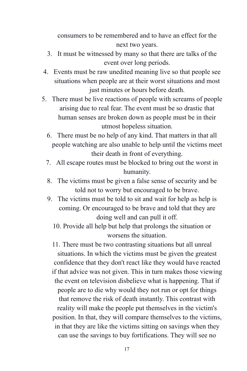consumers to be remembered and to have an effect for the next two years.

- 3. It must be witnessed by many so that there are talks of the event over long periods.
- 4. Events must be raw unedited meaning live so that people see situations when people are at their worst situations and most just minutes or hours before death.
- 5. There must be live reactions of people with screams of people arising due to real fear. The event must be so drastic that human senses are broken down as people must be in their utmost hopeless situation.
	- 6. There must be no help of any kind. That matters in that all people watching are also unable to help until the victims meet their death in front of everything.
	- 7. All escape routes must be blocked to bring out the worst in humanity.
	- 8. The victims must be given a false sense of security and be told not to worry but encouraged to be brave.
	- 9. The victims must be told to sit and wait for help as help is coming. Or encouraged to be brave and told that they are doing well and can pull it off.
		- 10. Provide all help but help that prolongs the situation or worsens the situation.

11. There must be two contrasting situations but all unreal situations. In which the victims must be given the greatest confidence that they don't react like they would have reacted if that advice was not given. This in turn makes those viewing the event on television disbelieve what is happening. That if people are to die why would they not run or opt for things that remove the risk of death instantly. This contrast with reality will make the people put themselves in the victim's position. In that, they will compare themselves to the victims, in that they are like the victims sitting on savings when they can use the savings to buy fortifications. They will see no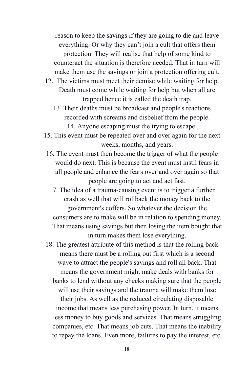reason to keep the savings if they are going to die and leave everything. Or why they can't join a cult that offers them protection. They will realise that help of some kind to counteract the situation is therefore needed. That in turn will make them use the savings or join a protection offering cult.

- 12. The victims must meet their demise while waiting for help. Death must come while waiting for help but when all are trapped hence it is called the death trap.
	- 13. Their deaths must be broadcast and people's reactions recorded with screams and disbelief from the people. 14. Anyone escaping must die trying to escape.
- 15. This event must be repeated over and over again for the next weeks, months, and years.
- 16. The event must then become the trigger of what the people would do next. This is because the event must instil fears in all people and enhance the fears over and over again so that people are going to act and act fast.
- 17. The idea of a trauma-causing event is to trigger a further crash as well that will rollback the money back to the government's coffers. So whatever the decision the consumers are to make will be in relation to spending money. That means using savings but then losing the item bought that in turn makes them lose everything.

18. The greatest attribute of this method is that the rolling back means there must be a rolling out first which is a second wave to attract the people's savings and roll all back. That means the government might make deals with banks for banks to lend without any checks making sure that the people will use their savings and the trauma will make them lose their jobs. As well as the reduced circulating disposable income that means less purchasing power. In turn, it means less money to buy goods and services. That means struggling companies, etc. That means job cuts. That means the inability to repay the loans. Even more, failures to pay the interest, etc.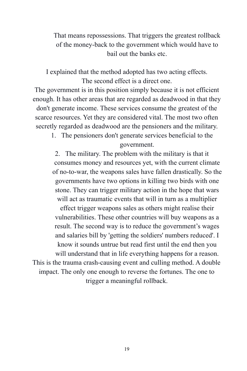That means repossessions. That triggers the greatest rollback of the money-back to the government which would have to bail out the banks etc.

I explained that the method adopted has two acting effects. The second effect is a direct one.

The government is in this position simply because it is not efficient enough. It has other areas that are regarded as deadwood in that they don't generate income. These services consume the greatest of the scarce resources. Yet they are considered vital. The most two often secretly regarded as deadwood are the pensioners and the military.

1. The pensioners don't generate services beneficial to the government.

2. The military. The problem with the military is that it consumes money and resources yet, with the current climate of no-to-war, the weapons sales have fallen drastically. So the governments have two options in killing two birds with one stone. They can trigger military action in the hope that wars will act as traumatic events that will in turn as a multiplier

effect trigger weapons sales as others might realise their vulnerabilities. These other countries will buy weapons as a result. The second way is to reduce the government's wages and salaries bill by 'getting the soldiers' numbers reduced'. I know it sounds untrue but read first until the end then you

will understand that in life everything happens for a reason. This is the trauma crash-causing event and culling method. A double impact. The only one enough to reverse the fortunes. The one to trigger a meaningful rollback.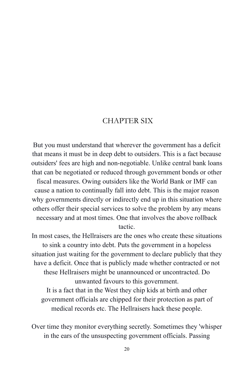#### CHAPTER SIX

But you must understand that wherever the government has a deficit that means it must be in deep debt to outsiders. This is a fact because outsiders' fees are high and non-negotiable. Unlike central bank loans that can be negotiated or reduced through government bonds or other

fiscal measures. Owing outsiders like the World Bank or IMF can cause a nation to continually fall into debt. This is the major reason why governments directly or indirectly end up in this situation where others offer their special services to solve the problem by any means necessary and at most times. One that involves the above rollback tactic.

In most cases, the Hellraisers are the ones who create these situations to sink a country into debt. Puts the government in a hopeless situation just waiting for the government to declare publicly that they have a deficit. Once that is publicly made whether contracted or not these Hellraisers might be unannounced or uncontracted. Do unwanted favours to this government. It is a fact that in the West they chip kids at birth and other government officials are chipped for their protection as part of medical records etc. The Hellraisers hack these people.

Over time they monitor everything secretly. Sometimes they 'whisper in the ears of the unsuspecting government officials. Passing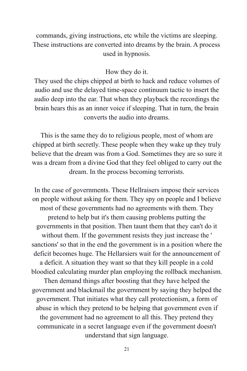commands, giving instructions, etc while the victims are sleeping. These instructions are converted into dreams by the brain. A process used in hypnosis.

#### How they do it.

They used the chips chipped at birth to hack and reduce volumes of audio and use the delayed time-space continuum tactic to insert the audio deep into the ear. That when they playback the recordings the brain hears this as an inner voice if sleeping. That in turn, the brain converts the audio into dreams.

This is the same they do to religious people, most of whom are chipped at birth secretly. These people when they wake up they truly believe that the dream was from a God. Sometimes they are so sure it was a dream from a divine God that they feel obliged to carry out the dream. In the process becoming terrorists.

In the case of governments. These Hellraisers impose their services on people without asking for them. They spy on people and I believe most of these governments had no agreements with them. They pretend to help but it's them causing problems putting the governments in that position. Then taunt them that they can't do it without them. If the government resists they just increase the ' sanctions' so that in the end the government is in a position where the deficit becomes huge. The Hellarsiers wait for the announcement of a deficit. A situation they want so that they kill people in a cold bloodied calculating murder plan employing the rollback mechanism.

Then demand things after boosting that they have helped the government and blackmail the government by saying they helped the government. That initiates what they call protectionism, a form of abuse in which they pretend to be helping that government even if the government had no agreement to all this. They pretend they communicate in a secret language even if the government doesn't understand that sign language.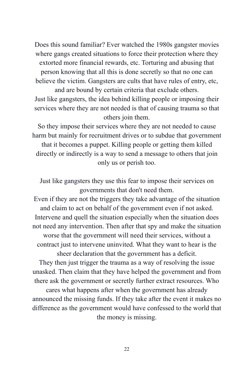Does this sound familiar? Ever watched the 1980s gangster movies where gangs created situations to force their protection where they extorted more financial rewards, etc. Torturing and abusing that person knowing that all this is done secretly so that no one can believe the victim. Gangsters are cults that have rules of entry, etc, and are bound by certain criteria that exclude others.

Just like gangsters, the idea behind killing people or imposing their services where they are not needed is that of causing trauma so that others join them.

So they impose their services where they are not needed to cause harm but mainly for recruitment drives or to subdue that government that it becomes a puppet. Killing people or getting them killed directly or indirectly is a way to send a message to others that join only us or perish too.

Just like gangsters they use this fear to impose their services on governments that don't need them.

Even if they are not the triggers they take advantage of the situation and claim to act on behalf of the government even if not asked. Intervene and quell the situation especially when the situation does not need any intervention. Then after that spy and make the situation worse that the government will need their services, without a contract just to intervene uninvited. What they want to hear is the

sheer declaration that the government has a deficit. They then just trigger the trauma as a way of resolving the issue unasked. Then claim that they have helped the government and from there ask the government or secretly further extract resources. Who

cares what happens after when the government has already announced the missing funds. If they take after the event it makes no difference as the government would have confessed to the world that the money is missing.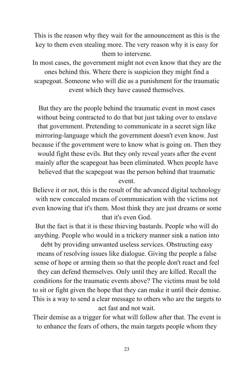This is the reason why they wait for the announcement as this is the key to them even stealing more. The very reason why it is easy for them to intervene.

In most cases, the government might not even know that they are the ones behind this. Where there is suspicion they might find a scapegoat. Someone who will die as a punishment for the traumatic event which they have caused themselves.

But they are the people behind the traumatic event in most cases without being contracted to do that but just taking over to enslave that government. Pretending to communicate in a secret sign like mirroring-language which the government doesn't even know. Just because if the government were to know what is going on. Then they would fight these evils. But they only reveal years after the event mainly after the scapegoat has been eliminated. When people have believed that the scapegoat was the person behind that traumatic event.

Believe it or not, this is the result of the advanced digital technology with new concealed means of communication with the victims not even knowing that it's them. Most think they are just dreams or some that it's even God.

But the fact is that it is these thieving bastards. People who will do anything. People who would in a trickery manner sink a nation into debt by providing unwanted useless services. Obstructing easy means of resolving issues like dialogue. Giving the people a false sense of hope or arming them so that the people don't react and feel they can defend themselves. Only until they are killed. Recall the conditions for the traumatic events above? The victims must be told to sit or fight given the hope that they can make it until their demise. This is a way to send a clear message to others who are the targets to act fast and not wait.

Their demise as a trigger for what will follow after that. The event is to enhance the fears of others, the main targets people whom they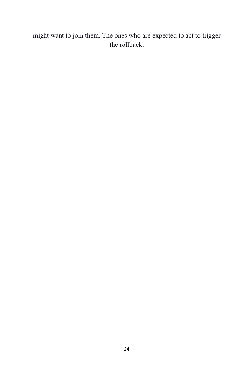might want to join them. The ones who are expected to act to trigger the rollback.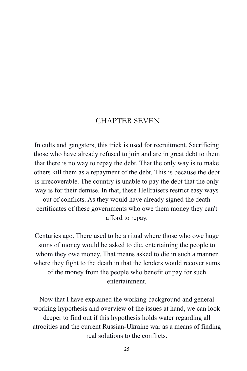#### CHAPTER SEVEN

In cults and gangsters, this trick is used for recruitment. Sacrificing those who have already refused to join and are in great debt to them that there is no way to repay the debt. That the only way is to make others kill them as a repayment of the debt. This is because the debt is irrecoverable. The country is unable to pay the debt that the only way is for their demise. In that, these Hellraisers restrict easy ways out of conflicts. As they would have already signed the death certificates of these governments who owe them money they can't afford to repay.

Centuries ago. There used to be a ritual where those who owe huge sums of money would be asked to die, entertaining the people to whom they owe money. That means asked to die in such a manner where they fight to the death in that the lenders would recover sums of the money from the people who benefit or pay for such entertainment.

Now that I have explained the working background and general working hypothesis and overview of the issues at hand, we can look deeper to find out if this hypothesis holds water regarding all atrocities and the current Russian-Ukraine war as a means of finding real solutions to the conflicts.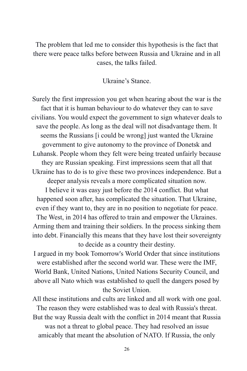The problem that led me to consider this hypothesis is the fact that there were peace talks before between Russia and Ukraine and in all cases, the talks failed.

Ukraine's Stance.

Surely the first impression you get when hearing about the war is the fact that it is human behaviour to do whatever they can to save civilians. You would expect the government to sign whatever deals to save the people. As long as the deal will not disadvantage them. It seems the Russians [i could be wrong] just wanted the Ukraine government to give autonomy to the province of Donetsk and Luhansk. People whom they felt were being treated unfairly because they are Russian speaking. First impressions seem that all that Ukraine has to do is to give these two provinces independence. But a deeper analysis reveals a more complicated situation now. I believe it was easy just before the 2014 conflict. But what happened soon after, has complicated the situation. That Ukraine, even if they want to, they are in no position to negotiate for peace. The West, in 2014 has offered to train and empower the Ukraines. Arming them and training their soldiers. In the process sinking them into debt. Financially this means that they have lost their sovereignty to decide as a country their destiny. I argued in my book Tomorrow's World Order that since institutions

were established after the second world war. These were the IMF, World Bank, United Nations, United Nations Security Council, and above all Nato which was established to quell the dangers posed by the Soviet Union.

All these institutions and cults are linked and all work with one goal. The reason they were established was to deal with Russia's threat. But the way Russia dealt with the conflict in 2014 meant that Russia was not a threat to global peace. They had resolved an issue amicably that meant the absolution of NATO. If Russia, the only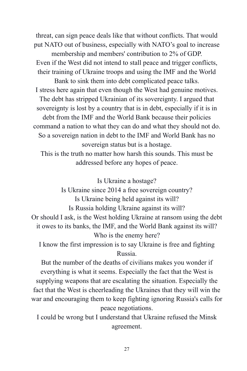threat, can sign peace deals like that without conflicts. That would put NATO out of business, especially with NATO's goal to increase membership and members' contribution to 2% of GDP. Even if the West did not intend to stall peace and trigger conflicts, their training of Ukraine troops and using the IMF and the World Bank to sink them into debt complicated peace talks. I stress here again that even though the West had genuine motives. The debt has stripped Ukrainian of its sovereignty. I argued that sovereignty is lost by a country that is in debt, especially if it is in debt from the IMF and the World Bank because their policies command a nation to what they can do and what they should not do. So a sovereign nation in debt to the IMF and World Bank has no sovereign status but is a hostage. This is the truth no matter how harsh this sounds. This must be

addressed before any hopes of peace.

Is Ukraine a hostage?

Is Ukraine since 2014 a free sovereign country? Is Ukraine being held against its will? Is Russia holding Ukraine against its will? Or should I ask, is the West holding Ukraine at ransom using the debt it owes to its banks, the IMF, and the World Bank against its will? Who is the enemy here?

I know the first impression is to say Ukraine is free and fighting Russia.

But the number of the deaths of civilians makes you wonder if everything is what it seems. Especially the fact that the West is supplying weapons that are escalating the situation. Especially the fact that the West is cheerleading the Ukraines that they will win the war and encouraging them to keep fighting ignoring Russia's calls for peace negotiations.

I could be wrong but I understand that Ukraine refused the Minsk agreement.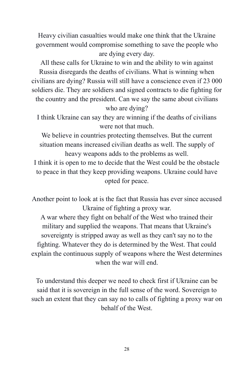Heavy civilian casualties would make one think that the Ukraine government would compromise something to save the people who are dying every day.

All these calls for Ukraine to win and the ability to win against Russia disregards the deaths of civilians. What is winning when civilians are dying? Russia will still have a conscience even if 23 000 soldiers die. They are soldiers and signed contracts to die fighting for the country and the president. Can we say the same about civilians who are dying?

I think Ukraine can say they are winning if the deaths of civilians were not that much.

We believe in countries protecting themselves. But the current situation means increased civilian deaths as well. The supply of heavy weapons adds to the problems as well.

I think it is open to me to decide that the West could be the obstacle to peace in that they keep providing weapons. Ukraine could have opted for peace.

Another point to look at is the fact that Russia has ever since accused Ukraine of fighting a proxy war.

A war where they fight on behalf of the West who trained their military and supplied the weapons. That means that Ukraine's sovereignty is stripped away as well as they can't say no to the fighting. Whatever they do is determined by the West. That could explain the continuous supply of weapons where the West determines when the war will end.

To understand this deeper we need to check first if Ukraine can be said that it is sovereign in the full sense of the word. Sovereign to such an extent that they can say no to calls of fighting a proxy war on behalf of the West.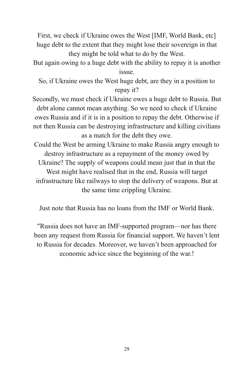First, we check if Ukraine owes the West [IMF, World Bank, etc] huge debt to the extent that they might lose their sovereign in that they might be told what to do by the West.

But again owing to a huge debt with the ability to repay it is another issue.

So, if Ukraine owes the West huge debt, are they in a position to repay it?

Secondly, we must check if Ukraine owes a huge debt to Russia. But debt alone cannot mean anything. So we need to check if Ukraine owes Russia and if it is in a position to repay the debt. Otherwise if not then Russia can be destroying infrastructure and killing civilians as a match for the debt they owe.

Could the West be arming Ukraine to make Russia angry enough to destroy infrastructure as a repayment of the money owed by Ukraine? The supply of weapons could mean just that in that the West might have realised that in the end, Russia will target infrastructure like railways to stop the delivery of weapons. But at the same time crippling Ukraine.

Just note that Russia has no loans from the IMF or World Bank.

"Russia does not have an IMF-supported program—nor has there been any request from Russia for financial support. We haven't lent to Russia for decades. Moreover, we haven't been approached for economic advice since the beginning of the war.!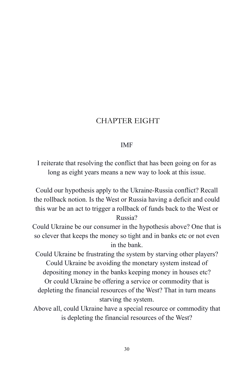# CHAPTER EIGHT

## IMF

I reiterate that resolving the conflict that has been going on for as long as eight years means a new way to look at this issue.

Could our hypothesis apply to the Ukraine-Russia conflict? Recall the rollback notion. Is the West or Russia having a deficit and could this war be an act to trigger a rollback of funds back to the West or Russia?

Could Ukraine be our consumer in the hypothesis above? One that is so clever that keeps the money so tight and in banks etc or not even in the bank.

Could Ukraine be frustrating the system by starving other players? Could Ukraine be avoiding the monetary system instead of depositing money in the banks keeping money in houses etc? Or could Ukraine be offering a service or commodity that is depleting the financial resources of the West? That in turn means starving the system.

Above all, could Ukraine have a special resource or commodity that is depleting the financial resources of the West?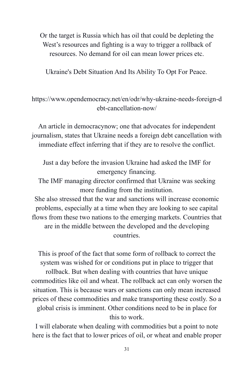Or the target is Russia which has oil that could be depleting the West's resources and fighting is a way to trigger a rollback of resources. No demand for oil can mean lower prices etc.

Ukraine's Debt Situation And Its Ability To Opt For Peace.

## https://www.opendemocracy.net/en/odr/why-ukraine-needs-foreign-d ebt-cancellation-now/

An article in democracynow; one that advocates for independent journalism, states that Ukraine needs a foreign debt cancellation with immediate effect inferring that if they are to resolve the conflict.

Just a day before the invasion Ukraine had asked the IMF for emergency financing.

The IMF managing director confirmed that Ukraine was seeking more funding from the institution.

She also stressed that the war and sanctions will increase economic problems, especially at a time when they are looking to see capital flows from these two nations to the emerging markets. Countries that are in the middle between the developed and the developing countries.

This is proof of the fact that some form of rollback to correct the system was wished for or conditions put in place to trigger that rollback. But when dealing with countries that have unique commodities like oil and wheat. The rollback act can only worsen the situation. This is because wars or sanctions can only mean increased prices of these commodities and make transporting these costly. So a global crisis is imminent. Other conditions need to be in place for this to work.

I will elaborate when dealing with commodities but a point to note here is the fact that to lower prices of oil, or wheat and enable proper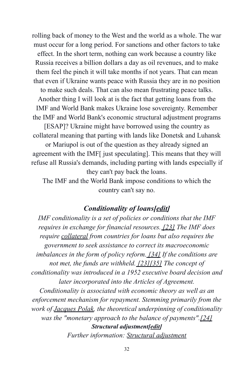rolling back of money to the West and the world as a whole. The war must occur for a long period. For sanctions and other factors to take effect. In the short term, nothing can work because a country like Russia receives a billion dollars a day as oil revenues, and to make them feel the pinch it will take months if not years. That can mean that even if Ukraine wants peace with Russia they are in no position to make such deals. That can also mean frustrating peace talks. Another thing I will look at is the fact that getting loans from the IMF and World Bank makes Ukraine lose sovereignty. Remember the IMF and World Bank's economic structural adjustment programs [ESAP]? Ukraine might have borrowed using the country as collateral meaning that parting with lands like Donetsk and Luhansk or Mariupol is out of the question as they already signed an agreement with the IMF[ just speculating]. This means that they will refuse all Russia's demands, including parting with lands especially if they can't pay back the loans.

The IMF and the World Bank impose conditions to which the country can't say no.

#### *Conditionality of loans[\[edit\]](https://en.wikipedia.org/w/index.php?title=International_Monetary_Fund&action=edit§ion=3)*

*IMF conditionality is a set of policies or conditions that the IMF requires in exchange for financial resources. [\[23\]](https://en.wikipedia.org/wiki/International_Monetary_Fund#cite_note-Jensen_2004,_April,_Issue_48-23) The IMF does require [collateral](https://en.wikipedia.org/wiki/Collateral_(finance)) from countries for loans but also requires the government to seek assistance to correct its macroeconomic imbalances in the form of policy reform. [\[34\]](https://en.wikipedia.org/wiki/International_Monetary_Fund#cite_note-guimaraes-34) If the conditions are not met, the funds are withheld. [\[23\]](https://en.wikipedia.org/wiki/International_Monetary_Fund#cite_note-Jensen_2004,_April,_Issue_48-23)[\[35\]](https://en.wikipedia.org/wiki/International_Monetary_Fund#cite_note-An_Analysis_of_IMF_Conditionality-35) The concept of conditionality was introduced in a 1952 executive board decision and later incorporated into the Articles of Agreement.*

*Conditionality is associated with economic theory as well as an enforcement mechanism for repayment. Stemming primarily from the work of [Jacques Polak,](https://en.wikipedia.org/wiki/Jacques_J._Polak) the theoretical underpinning of conditionality was the "monetary approach to the balance of payments".[\[24\]](https://en.wikipedia.org/wiki/International_Monetary_Fund#cite_note-chorev-24) Structural adjustment[\[edit\]](https://en.wikipedia.org/w/index.php?title=International_Monetary_Fund&action=edit§ion=4) Further information: [Structural adjustment](https://en.wikipedia.org/wiki/Structural_adjustment)*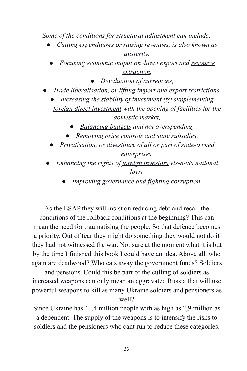*Some of the conditions for structural adjustment can include:*

- *Cutting expenditures or raising revenues, is also known as [austerity](https://en.wikipedia.org/wiki/Austerity).*
	- *Focusing economic output on direct export and [resource](https://en.wikipedia.org/wiki/Resource_extraction) [extraction,](https://en.wikipedia.org/wiki/Resource_extraction)*
		- *[Devaluation](https://en.wikipedia.org/wiki/Devaluation) of currencies,*
- *[Trade liberalisation](https://en.wikipedia.org/wiki/Trade_liberalisation), or lifting import and export restrictions,*
	- Increasing the stability of investment (by supplementing *[foreign direct investment](https://en.wikipedia.org/wiki/Foreign_direct_investment) with the opening of facilities for the domestic market,*
		- *[Balancing budgets](https://en.wikipedia.org/wiki/Balanced_budget) and not overspending,*
		- *Removing [price controls](https://en.wikipedia.org/wiki/Price_control) and state [subsidies,](https://en.wikipedia.org/wiki/Subsidy)*
	- *[Privatisation](https://en.wikipedia.org/wiki/Privatization), or [divestiture](https://en.wikipedia.org/wiki/Divestiture) of all or part of state-owned enterprises,*
	- *Enhancing the rights of [foreign investors](https://en.wikipedia.org/wiki/Foreign_investors) vis-a-vis national laws,*
		- *Improving [governance](https://en.wikipedia.org/wiki/Governance) and fighting corruption,*

As the ESAP they will insist on reducing debt and recall the conditions of the rollback conditions at the beginning? This can mean the need for traumatising the people. So that defence becomes a priority. Out of fear they might do something they would not do if they had not witnessed the war. Not sure at the moment what it is but by the time I finished this book I could have an idea. Above all, who again are deadwood? Who eats away the government funds? Soldiers

and pensions. Could this be part of the culling of soldiers as increased weapons can only mean an aggravated Russia that will use powerful weapons to kill as many Ukraine soldiers and pensioners as well?

Since Ukraine has 41.4 million people with as high as 2,9 million as a dependent. The supply of the weapons is to intensify the risks to soldiers and the pensioners who cant run to reduce these categories.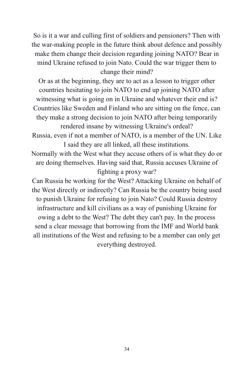So is it a war and culling first of soldiers and pensioners? Then with the war-making people in the future think about defence and possibly make them change their decision regarding joining NATO? Bear in mind Ukraine refused to join Nato. Could the war trigger them to change their mind?

Or as at the beginning, they are to act as a lesson to trigger other countries hesitating to join NATO to end up joining NATO after witnessing what is going on in Ukraine and whatever their end is? Countries like Sweden and Finland who are sitting on the fence, can they make a strong decision to join NATO after being temporarily rendered insane by witnessing Ukraine's ordeal?

Russia, even if not a member of NATO, is a member of the UN. Like I said they are all linked, all these institutions.

Normally with the West what they accuse others of is what they do or are doing themselves. Having said that, Russia accuses Ukraine of fighting a proxy war?

Can Russia be working for the West? Attacking Ukraine on behalf of the West directly or indirectly? Can Russia be the country being used to punish Ukraine for refusing to join Nato? Could Russia destroy infrastructure and kill civilians as a way of punishing Ukraine for owing a debt to the West? The debt they can't pay. In the process send a clear message that borrowing from the IMF and World bank all institutions of the West and refusing to be a member can only get everything destroyed.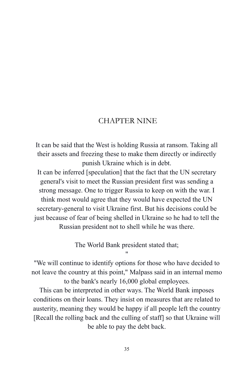## CHAPTER NINE

It can be said that the West is holding Russia at ransom. Taking all their assets and freezing these to make them directly or indirectly punish Ukraine which is in debt.

It can be inferred [speculation] that the fact that the UN secretary general's visit to meet the Russian president first was sending a strong message. One to trigger Russia to keep on with the war. I think most would agree that they would have expected the UN secretary-general to visit Ukraine first. But his decisions could be just because of fear of being shelled in Ukraine so he had to tell the Russian president not to shell while he was there.

> The World Bank president stated that; "

"We will continue to identify options for those who have decided to not leave the country at this point," Malpass said in an internal memo to the bank's nearly 16,000 global employees.

This can be interpreted in other ways. The World Bank imposes conditions on their loans. They insist on measures that are related to austerity, meaning they would be happy if all people left the country [Recall the rolling back and the culling of staff] so that Ukraine will be able to pay the debt back.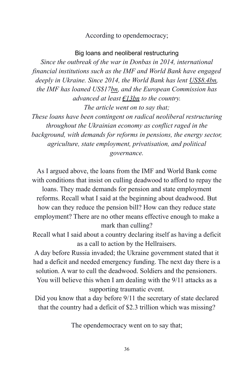#### According to opendemocracy;

#### Big loans and neoliberal restructuring

*Since the outbreak of the war in Donbas in 2014, international financial institutions such as the IMF and World Bank have engaged deeply in Ukraine. Since 2014, the World Bank has lent [US\\$8.4bn](https://financesapp.worldbank.org/summaries/ibrd-ida/#ibrd-len/countries=UA/), the IMF has loaned US\$17[bn,](https://www.imf.org/external/np/fin/tad/extrans1.aspx?memberKey1=993&endDate=2099-12-31&finposition_flag=YES) and the European Commission has advanced at least [€13bn](https://eeas.europa.eu/delegations/ukraine/1937/ukraine-and-eu_en) to the country. The article went on to say that;*

*These loans have been contingent on radical neoliberal restructuring throughout the Ukrainian economy as conflict raged in the background, with demands for reforms in pensions, the energy sector, agriculture, state employment, privatisation, and political governance.*

As I argued above, the loans from the IMF and World Bank come with conditions that insist on culling deadwood to afford to repay the loans. They made demands for pension and state employment reforms. Recall what I said at the beginning about deadwood. But how can they reduce the pension bill? How can they reduce state employment? There are no other means effective enough to make a

#### mark than culling?

Recall what I said about a country declaring itself as having a deficit as a call to action by the Hellraisers.

A day before Russia invaded; the Ukraine government stated that it had a deficit and needed emergency funding. The next day there is a solution. A war to cull the deadwood. Soldiers and the pensioners. You will believe this when I am dealing with the 9/11 attacks as a supporting traumatic event.

Did you know that a day before 9/11 the secretary of state declared that the country had a deficit of \$2.3 trillion which was missing?

The opendemocracy went on to say that;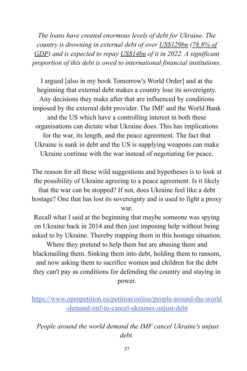*The loans have created enormous levels of debt for Ukraine. The country is drowning in external debt of over [US\\$129bn](https://data.worldbank.org/indicator/DT.DOD.DECT.CD?locations=UA) [\(78.8% of](https://www.imf.org/en/Publications/CR/Issues/2020/06/10/Ukraine-Request-for-Stand-by-Arrangement-Press-Release-Staff-Report-and-Statement-by-the-49501) [GDP](https://www.imf.org/en/Publications/CR/Issues/2020/06/10/Ukraine-Request-for-Stand-by-Arrangement-Press-Release-Staff-Report-and-Statement-by-the-49501)) and is expected to repay [US\\$14bn](https://bank.gov.ua/admin_uploads/article/IR_2021-Q4_en.pdf?v=4) of it in 2022. A significant proportion of this debt is owed to international financial institutions.*

I argued [also in my book Tomorrow's World Order] and at the beginning that external debt makes a country lose its sovereignty. Any decisions they make after that are influenced by conditions imposed by the external debt provider. The IMF and the World Bank and the US which have a controlling interest in both these organisations can dictate what Ukraine does. This has implications for the war, its length, and the peace agreement. The fact that Ukraine is sunk in debt and the US is supplying weapons can make Ukraine continue with the war instead of negotiating for peace.

The reason for all these wild suggestions and hypotheses is to look at the possibility of Ukraine agreeing to a peace agreement. Is it likely that the war can be stopped? If not, does Ukraine feel like a debt hostage? One that has lost its sovereignty and is used to fight a proxy war.

Recall what I said at the beginning that maybe someone was spying on Ukraine back in 2014 and then just imposing help without being asked to by Ukraine. Thereby trapping them in this hostage situation.

Where they pretend to help them but are abusing them and blackmailing them. Sinking them into debt, holding them to ransom, and now asking them to sacrifice women and children for the debt they can't pay as conditions for defending the country and staying in power.

*People around the world demand the IMF cancel Ukraine's unjust debt.*

[https://www.openpetition.eu/petition/online/people-around-the-world](https://www.openpetition.eu/petition/online/people-around-the-world-demand-imf-to-cancel-ukraines-unjust-debt) [-demand-imf-to-cancel-ukraines-unjust-debt](https://www.openpetition.eu/petition/online/people-around-the-world-demand-imf-to-cancel-ukraines-unjust-debt)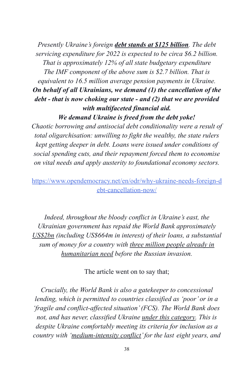*Presently Ukraine's foreign [debt stands at \\$125 billion](https://www.ceicdata.com/en/indicator/ukraine/external-debt). The debt servicing expenditure for 2022 is expected to be circa \$6.2 billion. That is approximately 12% of all state budgetary expenditure The IMF component of the above sum is \$2.7 billion. That is equivalent to 16.5 million average pension payments in Ukraine. On behalf of all Ukrainians, we demand (1) the cancellation of the debt - that is now choking our state - and (2) that we are provided with multifaceted financial aid.*

*We demand Ukraine is freed from the debt yoke!*

*Chaotic borrowing and antisocial debt conditionality were a result of total oligarchisation: unwilling to fight the wealthy, the state rulers kept getting deeper in debt. Loans were issued under conditions of social spending cuts, and their repayment forced them to economise on vital needs and apply austerity to foundational economy sectors.*

[https://www.opendemocracy.net/en/odr/why-ukraine-needs-foreign-d](https://www.opendemocracy.net/en/odr/why-ukraine-needs-foreign-debt-cancellation-now/) [ebt-cancellation-now/](https://www.opendemocracy.net/en/odr/why-ukraine-needs-foreign-debt-cancellation-now/)

*Indeed, throughout the bloody conflict in Ukraine's east, the Ukrainian government has repaid the World Bank approximately [US\\$2bn](https://financesapp.worldbank.org/summaries/ibrd-ida/#ibrd-net/countries=Ukraine/sort=fiscal_year-desc/) (including US\$664m in interest) of their loans, a substantial sum of money for a country with [three million people](https://reliefweb.int/sites/reliefweb.int/files/resources/ukraine_2022_hno_eng_2022-02-10.pdf) already in [humanitarian need](https://reliefweb.int/sites/reliefweb.int/files/resources/ukraine_2022_hno_eng_2022-02-10.pdf) before the Russian invasion.*

The article went on to say that;

*Crucially, the World Bank is also a gatekeeper to concessional lending, which is permitted to countries classified as 'poor' or in a 'fragile and conflict-affected situation' (FCS). The World Bank does not, and has never, classified Ukraine [under this](https://thedocs.worldbank.org/en/doc/b72adf78c2434c6980510d3aec9c65a1-0090082021/original/FCSList-FY06toFY21.pdf) category. This is despite Ukraine comfortably meeting its criteria for inclusion as a country with ['medium-intensity conflict'](https://thedocs.worldbank.org/en/doc/8bc2ffd2ca0d2f174fee8315ad4c385b-0090082021/original/Classification-of-Fragility-and-Conflict-Situations-web-FY22.pdf) for the last eight years, and*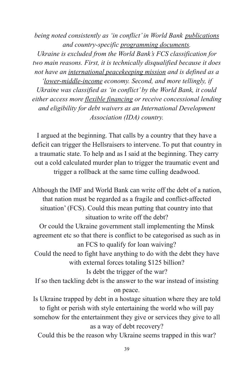*being noted consistently as 'in conflict' in World Bank [publications](https://documents1.worldbank.org/curated/en/561901622018072439/pdf/State-and-Peacebuilding-Fund-Annual-Report-2020.pdf) and country-specific [programming documents.](https://openknowledge.worldbank.org/handle/10986/35908)*

*Ukraine is excluded from the World Bank's FCS classification for two main reasons. First, it is technically disqualified because it does not have an [international peacekeeping mission](https://thedocs.worldbank.org/en/doc/b72adf78c2434c6980510d3aec9c65a1-0090082021/original/FCSList-FY06toFY21.pdf) and is defined as a*

*'[lower-middle-income](https://datahelpdesk.worldbank.org/knowledgebase/articles/906519-world-bank-country-and-lending-groups) economy. Second, and more tellingly, if Ukraine was classified as 'in conflict' by the World Bank, it could either access more [flexible financing](https://ppfdocuments.azureedge.net/1776548c-754e-4121-a9b5-f32591bdaacf.pdf) or receive concessional lending and eligibility for debt waivers as an International Development Association (IDA) country.*

I argued at the beginning. That calls by a country that they have a deficit can trigger the Hellsraisers to intervene. To put that country in a traumatic state. To help and as I said at the beginning. They carry out a cold calculated murder plan to trigger the traumatic event and trigger a rollback at the same time culling deadwood.

Although the IMF and World Bank can write off the debt of a nation, that nation must be regarded as a fragile and conflict-affected situation' (FCS). Could this mean putting that country into that situation to write off the debt?

Or could the Ukraine government stall implementing the Minsk agreement etc so that there is conflict to be categorised as such as in an FCS to qualify for loan waiving?

Could the need to fight have anything to do with the debt they have with external forces totaling \$125 billion?

Is debt the trigger of the war?

If so then tackling debt is the answer to the war instead of insisting on peace.

Is Ukraine trapped by debt in a hostage situation where they are told to fight or perish with style entertaining the world who will pay somehow for the entertainment they give or services they give to all as a way of debt recovery?

Could this be the reason why Ukraine seems trapped in this war?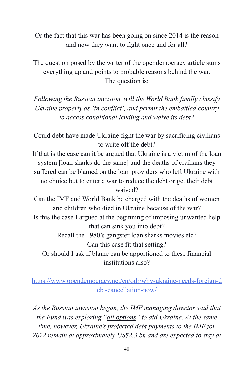Or the fact that this war has been going on since 2014 is the reason and now they want to fight once and for all?

The question posed by the writer of the opendemocracy article sums everything up and points to probable reasons behind the war. The question is;

*Following the Russian invasion, will the World Bank finally classify Ukraine properly as 'in conflict', and permit the embattled country to access conditional lending and waive its debt?*

Could debt have made Ukraine fight the war by sacrificing civilians to write off the debt?

If that is the case can it be argued that Ukraine is a victim of the loan system [loan sharks do the same] and the deaths of civilians they suffered can be blamed on the loan providers who left Ukraine with no choice but to enter a war to reduce the debt or get their debt waived?

Can the IMF and World Bank be charged with the deaths of women and children who died in Ukraine because of the war? Is this the case I argued at the beginning of imposing unwanted help that can sink you into debt? Recall the 1980's gangster loan sharks movies etc? Can this case fit that setting? Or should I ask if blame can be apportioned to these financial

institutions also?

## [https://www.opendemocracy.net/en/odr/why-ukraine-needs-foreign-d](https://www.opendemocracy.net/en/odr/why-ukraine-needs-foreign-debt-cancellation-now/) [ebt-cancellation-now/](https://www.opendemocracy.net/en/odr/why-ukraine-needs-foreign-debt-cancellation-now/)

*As the Russian invasion began, the IMF managing director said that the Fund was exploring "[all options](https://www.reuters.com/business/sanctions-russia-will-add-economic-impact-ukraine-war-inflation-imf-chief-2022-02-25/)" to aid Ukraine. At the same time, however, Ukraine's projected debt payments to the IMF for 2022 remain at approximately [US\\$2.3 bn](https://www.imf.org/external/np/fin/tad/exfin2.aspx?memberKey1=993&date1key=2099-12-31) and are expected to [stay at](https://www.imf.org/en/Publications/CR/Issues/2020/06/10/Ukraine-Request-for-Stand-by-Arrangement-Press-Release-Staff-Report-and-Statement-by-the-49501)*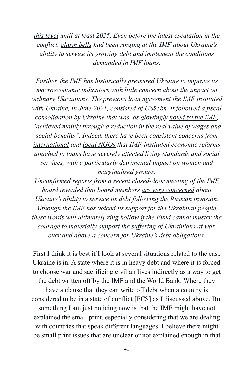*[this level](https://www.imf.org/en/Publications/CR/Issues/2020/06/10/Ukraine-Request-for-Stand-by-Arrangement-Press-Release-Staff-Report-and-Statement-by-the-49501) until at least 2025. Even before the latest escalation in the conflict, [alarm bells](https://www.brettonwoodsproject.org/2018/09/ukraine-rock-imf-conditionality/) had been ringing at the IMF about Ukraine's ability to service its growing debt and implement the conditions demanded in IMF loans.*

*Further, the IMF has historically pressured Ukraine to improve its macroeconomic indicators with little concern about the impact on ordinary Ukrainians. The previous loan agreement the IMF instituted with Ukraine, in June 2021, consisted of US\$5bn. It followed a fiscal consolidation by Ukraine that was, as glowingly noted [by the IMF](https://www.brettonwoodsproject.org/2020/07/the-imf-and-world-bank-led-covid-19-recovery-building-back-better-or-locking-in-broken-policies/), "achieved mainly through a reduction in the real value of wages and social benefits". Indeed, there have been consistent concerns from [international](https://www.wilpf.org/wp-content/uploads/2017/06/WS_Ukraine_UN_Format_NGO_68.pdf) and [local NGOs](https://www.ohchr.org/Documents/Issues/IEDebt/impactassessments/WomenInternationalLeaguePeaceFreedom.pdf) that IMF-instituted economic reforms attached to loans have severely affected living standards and social services, with a particularly detrimental impact on women and marginalised groups.*

*Unconfirmed reports from a recent closed-door meeting of the IMF board revealed that board members [are very concerned](https://www.business-standard.com/article/international/imf-ukraine-loan-payout-jeopardized-by-russian-invasion-uncertainty-122022600192_1.html) about Ukraine's ability to service its debt following the Russian invasion. Although the IMF has [voiced its support](https://au.news.yahoo.com/imf-leans-against-ukraine-loan-232547055.html) for the Ukrainian people, these words will ultimately ring hollow if the Fund cannot muster the courage to materially support the suffering of Ukrainians at war, over and above a concern for Ukraine's debt obligations.*

First I think it is best if I look at several situations related to the case Ukraine is in. A state where it is in heavy debt and where it is forced to choose war and sacrificing civilian lives indirectly as a way to get the debt written off by the IMF and the World Bank. Where they have a clause that they can write off debt when a country is considered to be in a state of conflict [FCS] as I discussed above. But something I am just noticing now is that the IMF might have not explained the small print, especially considering that we are dealing with countries that speak different languages. I believe there might be small print issues that are unclear or not explained enough in that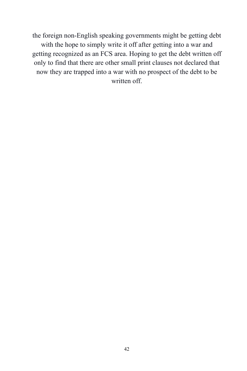the foreign non-English speaking governments might be getting debt with the hope to simply write it off after getting into a war and getting recognized as an FCS area. Hoping to get the debt written off only to find that there are other small print clauses not declared that now they are trapped into a war with no prospect of the debt to be written off.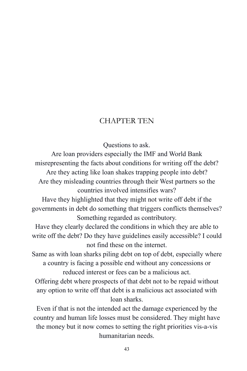## CHAPTER TEN

Questions to ask.

Are loan providers especially the IMF and World Bank misrepresenting the facts about conditions for writing off the debt? Are they acting like loan shakes trapping people into debt? Are they misleading countries through their West partners so the countries involved intensifies wars?

Have they highlighted that they might not write off debt if the governments in debt do something that triggers conflicts themselves? Something regarded as contributory.

Have they clearly declared the conditions in which they are able to write off the debt? Do they have guidelines easily accessible? I could not find these on the internet.

Same as with loan sharks piling debt on top of debt, especially where a country is facing a possible end without any concessions or reduced interest or fees can be a malicious act.

Offering debt where prospects of that debt not to be repaid without any option to write off that debt is a malicious act associated with loan sharks.

Even if that is not the intended act the damage experienced by the country and human life losses must be considered. They might have the money but it now comes to setting the right priorities vis-a-vis humanitarian needs.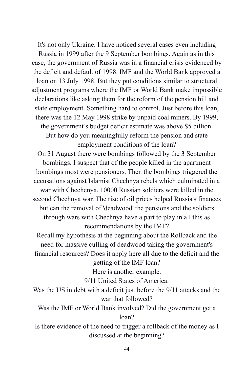It's not only Ukraine. I have noticed several cases even including Russia in 1999 after the 9 September bombings. Again as in this case, the government of Russia was in a financial crisis evidenced by the deficit and default of 1998. IMF and the World Bank approved a loan on 13 July 1998. But they put conditions similar to structural adjustment programs where the IMF or World Bank make impossible declarations like asking them for the reform of the pension bill and state employment. Something hard to control. Just before this loan, there was the 12 May 1998 strike by unpaid coal miners. By 1999, the government's budget deficit estimate was above \$5 billion. But how do you meaningfully reform the pension and state employment conditions of the loan?

On 31 August there were bombings followed by the 3 September bombings. I suspect that of the people killed in the apartment bombings most were pensioners. Then the bombings triggered the accusations against Islamist Chechnya rebels which culminated in a war with Chechenya. 10000 Russian soldiers were killed in the second Chechnya war. The rise of oil prices helped Russia's finances but can the removal of 'deadwood' the pensions and the soldiers through wars with Chechnya have a part to play in all this as recommendations by the IMF?

Recall my hypothesis at the beginning about the Rollback and the need for massive culling of deadwood taking the government's financial resources? Does it apply here all due to the deficit and the

getting of the IMF loan?

Here is another example.

9/11 United States of America.

Was the US in debt with a deficit just before the 9/11 attacks and the war that followed?

Was the IMF or World Bank involved? Did the government get a loan?

Is there evidence of the need to trigger a rollback of the money as I discussed at the beginning?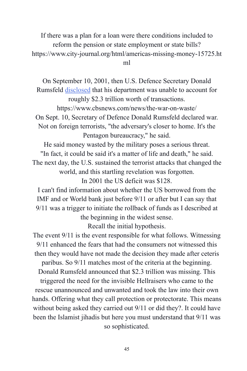If there was a plan for a loan were there conditions included to reform the pension or state employment or state bills? https://www.city-journal.org/html/americas-missing-money-15725.ht ml

On September 10, 2001, then U.S. Defence Secretary Donald Rumsfeld [disclosed](https://www.cbsnews.com/news/the-war-on-waste/) that his department was unable to account for roughly \$2.3 trillion worth of transactions. https://www.cbsnews.com/news/the-war-on-waste/ On Sept. 10, Secretary of Defence Donald Rumsfeld declared war. Not on foreign terrorists, "the adversary's closer to home. It's the Pentagon bureaucracy," he said.

He said money wasted by the military poses a serious threat. "In fact, it could be said it's a matter of life and death," he said. The next day, the U.S. sustained the terrorist attacks that changed the world, and this startling revelation was forgotten.

In 2001 the US deficit was \$128.

I can't find information about whether the US borrowed from the IMF and or World bank just before 9/11 or after but I can say that 9/11 was a trigger to initiate the rollback of funds as I described at the beginning in the widest sense.

Recall the initial hypothesis.

The event 9/11 is the event responsible for what follows. Witnessing 9/11 enhanced the fears that had the consumers not witnessed this then they would have not made the decision they made after ceteris paribus. So 9/11 matches most of the criteria at the beginning. Donald Rumsfeld announced that \$2.3 trillion was missing. This

triggered the need for the invisible Hellraisers who came to the rescue unannounced and unwanted and took the law into their own hands. Offering what they call protection or protectorate. This means without being asked they carried out 9/11 or did they?. It could have been the Islamist jihadis but here you must understand that 9/11 was so sophisticated.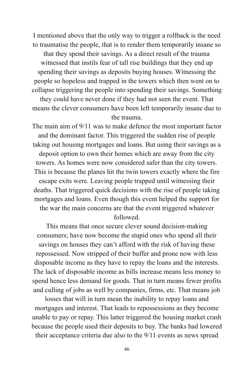I mentioned above that the only way to trigger a rollback is the need to traumatise the people, that is to render them temporarily insane so that they spend their savings. As a direct result of the trauma witnessed that instils fear of tall rise buildings that they end up spending their savings as deposits buying houses. Witnessing the people so hopeless and trapped in the towers which then went on to collapse triggering the people into spending their savings. Something they could have never done if they had not seen the event. That means the clever consumers have been left temporarily insane due to the trauma.

The main aim of 9/11 was to make defence the most important factor and the dominant factor. This triggered the sudden rise of people taking out housing mortgages and loans. But using their savings as a deposit option to own their homes which are away from the city towers. As homes were now considered safer than the city towers. This is because the planes hit the twin towers exactly where the fire escape exits were. Leaving people trapped until witnessing their deaths. That triggered quick decisions with the rise of people taking mortgages and loans. Even though this event helped the support for the war the main concerns are that the event triggered whatever followed.

This means that once secure clever sound decision-making consumers; have now become the stupid ones who spend all their savings on houses they can't afford with the risk of having these repossessed. Now stripped of their buffer and prone now with less disposable income as they have to repay the loans and the interests. The lack of disposable income as bills increase means less money to spend hence less demand for goods. That in turn means fewer profits and culling of jobs as well by companies, firms, etc. That means job

losses that will in turn mean the inability to repay loans and mortgages and interest. That leads to repossessions as they become unable to pay or repay. This latter triggered the housing market crash because the people used their deposits to buy. The banks had lowered their acceptance criteria due also to the 9/11 events as news spread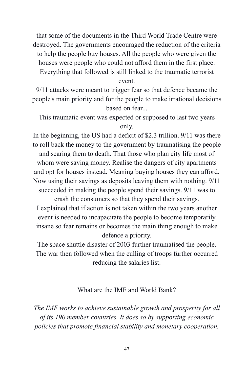that some of the documents in the Third World Trade Centre were destroyed. The governments encouraged the reduction of the criteria to help the people buy houses. All the people who were given the houses were people who could not afford them in the first place. Everything that followed is still linked to the traumatic terrorist

event.

9/11 attacks were meant to trigger fear so that defence became the people's main priority and for the people to make irrational decisions based on fear...

This traumatic event was expected or supposed to last two years only.

In the beginning, the US had a deficit of \$2.3 trillion. 9/11 was there to roll back the money to the government by traumatising the people and scaring them to death. That those who plan city life most of whom were saving money. Realise the dangers of city apartments and opt for houses instead. Meaning buying houses they can afford. Now using their savings as deposits leaving them with nothing. 9/11 succeeded in making the people spend their savings. 9/11 was to

crash the consumers so that they spend their savings. I explained that if action is not taken within the two years another event is needed to incapacitate the people to become temporarily insane so fear remains or becomes the main thing enough to make defence a priority.

The space shuttle disaster of 2003 further traumatised the people. The war then followed when the culling of troops further occurred reducing the salaries list.

#### What are the IMF and World Bank?

*The IMF works to achieve sustainable growth and prosperity for all of its 190 member countries. It does so by supporting economic policies that promote financial stability and monetary cooperation,*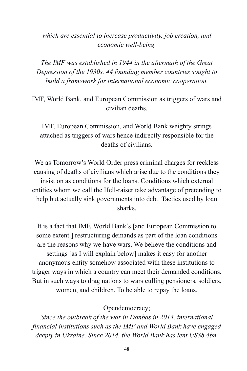## *which are essential to increase productivity, job creation, and economic well-being.*

*The IMF was established in 1944 in the aftermath of the Great Depression of the 1930s. 44 founding member countries sought to build a framework for international economic cooperation.*

IMF, World Bank, and European Commission as triggers of wars and civilian deaths.

IMF, European Commission, and World Bank weighty strings attached as triggers of wars hence indirectly responsible for the deaths of civilians.

We as Tomorrow's World Order press criminal charges for reckless causing of deaths of civilians which arise due to the conditions they insist on as conditions for the loans. Conditions which external entities whom we call the Hell-raiser take advantage of pretending to help but actually sink governments into debt. Tactics used by loan sharks.

It is a fact that IMF, World Bank's [and European Commission to some extent.] restructuring demands as part of the loan conditions are the reasons why we have wars. We believe the conditions and settings [as I will explain below] makes it easy for another anonymous entity somehow associated with these institutions to trigger ways in which a country can meet their demanded conditions. But in such ways to drag nations to wars culling pensioners, soldiers, women, and children. To be able to repay the loans.

Opendemocracy;

*Since the outbreak of the war in Donbas in 2014, international financial institutions such as the IMF and World Bank have engaged deeply in Ukraine. Since 2014, the World Bank has lent [US\\$8.4bn](https://financesapp.worldbank.org/summaries/ibrd-ida/#ibrd-len/countries=UA/),*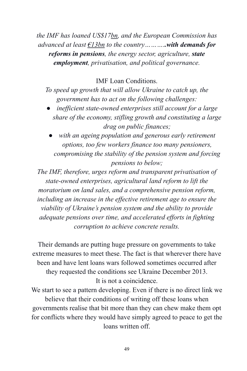*the IMF has loaned US\$17[bn,](https://www.imf.org/external/np/fin/tad/extrans1.aspx?memberKey1=993&endDate=2099-12-31&finposition_flag=YES) and the European Commission has advanced at least [€13bn](https://eeas.europa.eu/delegations/ukraine/1937/ukraine-and-eu_en) to the country………..with demands for reforms in pensions, the energy sector, agriculture, state employment, privatisation, and political governance.*

IMF Loan Conditions.

*To speed up growth that will allow Ukraine to catch up, the government has to act on the following challenges:*

- inefficient state-owned enterprises still account for a large *share of the economy, stifling growth and constituting a large drag on public finances;*
- **•** with an ageing population and generous early retirement *options, too few workers finance too many pensioners, compromising the stability of the pension system and forcing pensions to below;*

*The IMF, therefore, urges reform and transparent privatisation of state-owned enterprises, agricultural land reform to lift the moratorium on land sales, and a comprehensive pension reform, including an increase in the effective retirement age to ensure the viability of Ukraine's pension system and the ability to provide adequate pensions over time, and accelerated efforts in fighting corruption to achieve concrete results.*

Their demands are putting huge pressure on governments to take extreme measures to meet these. The fact is that wherever there have been and have lent loans wars followed sometimes occurred after they requested the conditions see Ukraine December 2013. It is not a coincidence.

We start to see a pattern developing. Even if there is no direct link we believe that their conditions of writing off these loans when governments realise that bit more than they can chew make them opt for conflicts where they would have simply agreed to peace to get the loans written off.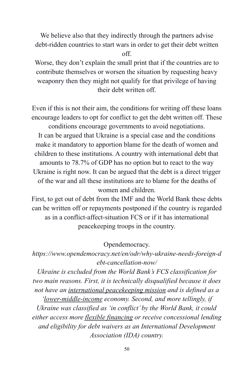We believe also that they indirectly through the partners advise debt-ridden countries to start wars in order to get their debt written off.

Worse, they don't explain the small print that if the countries are to contribute themselves or worsen the situation by requesting heavy weaponry then they might not qualify for that privilege of having their debt written off.

Even if this is not their aim, the conditions for writing off these loans encourage leaders to opt for conflict to get the debt written off. These conditions encourage governments to avoid negotiations. It can be argued that Ukraine is a special case and the conditions make it mandatory to apportion blame for the death of women and children to these institutions. A country with international debt that amounts to 78.7% of GDP has no option but to react to the way Ukraine is right now. It can be argued that the debt is a direct trigger of the war and all these institutions are to blame for the deaths of women and children.

First, to get out of debt from the IMF and the World Bank these debts can be written off or repayments postponed if the country is regarded as in a conflict-affect-situation FCS or if it has international peacekeeping troops in the country.

Opendemocracy.

*https://www.opendemocracy.net/en/odr/why-ukraine-needs-foreign-d ebt-cancellation-now/*

*Ukraine is excluded from the World Bank's FCS classification for two main reasons. First, it is technically disqualified because it does not have an [international peacekeeping mission](https://thedocs.worldbank.org/en/doc/b72adf78c2434c6980510d3aec9c65a1-0090082021/original/FCSList-FY06toFY21.pdf) and is defined as a*

*'[lower-middle-income](https://datahelpdesk.worldbank.org/knowledgebase/articles/906519-world-bank-country-and-lending-groups) economy. Second, and more tellingly, if Ukraine was classified as 'in conflict' by the World Bank, it could either access more [flexible financing](https://ppfdocuments.azureedge.net/1776548c-754e-4121-a9b5-f32591bdaacf.pdf) or receive concessional lending and eligibility for debt waivers as an International Development Association (IDA) country.*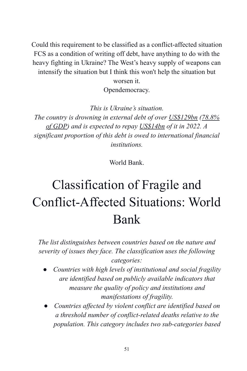Could this requirement to be classified as a conflict-affected situation FCS as a condition of writing off debt, have anything to do with the heavy fighting in Ukraine? The West's heavy supply of weapons can intensify the situation but I think this won't help the situation but worsen it. Opendemocracy.

*This is Ukraine's situation. The country is drowning in external debt of over [US\\$129bn](https://data.worldbank.org/indicator/DT.DOD.DECT.CD?locations=UA) ([78.8%](https://www.imf.org/en/Publications/CR/Issues/2020/06/10/Ukraine-Request-for-Stand-by-Arrangement-Press-Release-Staff-Report-and-Statement-by-the-49501) [of GDP](https://www.imf.org/en/Publications/CR/Issues/2020/06/10/Ukraine-Request-for-Stand-by-Arrangement-Press-Release-Staff-Report-and-Statement-by-the-49501)) and is expected to repay [US\\$14bn](https://bank.gov.ua/admin_uploads/article/IR_2021-Q4_en.pdf?v=4) of it in 2022. A significant proportion of this debt is owed to international financial institutions.*

World Bank.

# Classification of Fragile and Conflict-Affected Situations: World Bank

*The list distinguishes between countries based on the nature and severity of issues they face. The classification uses the following categories:*

- *Countries with high levels of institutional and social fragility are identified based on publicly available indicators that measure the quality of policy and institutions and manifestations of fragility.*
- *Countries affected by violent conflict are identified based on a threshold number of conflict-related deaths relative to the population. This category includes two sub-categories based*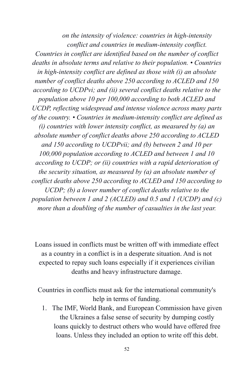*on the intensity of violence: countries in high-intensity conflict and countries in medium-intensity conflict. Countries in conflict are identified based on the number of conflict deaths in absolute terms and relative to their population. • Countries in high-intensity conflict are defined as those with (i) an absolute number of conflict deaths above 250 according to ACLED and 150 according to UCDPvi; and (ii) several conflict deaths relative to the population above 10 per 100,000 according to both ACLED and UCDP, reflecting widespread and intense violence across many parts of the country. • Countries in medium-intensity conflict are defined as (i) countries with lower intensity conflict, as measured by (a) an absolute number of conflict deaths above 250 according to ACLED and 150 according to UCDPvii; and (b) between 2 and 10 per 100,000 population according to ACLED and between 1 and 10 according to UCDP; or (ii) countries with a rapid deterioration of the security situation, as measured by (a) an absolute number of conflict deaths above 250 according to ACLED and 150 according to UCDP; (b) a lower number of conflict deaths relative to the population between 1 and 2 (ACLED) and 0.5 and 1 (UCDP) and (c) more than a doubling of the number of casualties in the last year.*

Loans issued in conflicts must be written off with immediate effect as a country in a conflict is in a desperate situation. And is not expected to repay such loans especially if it experiences civilian deaths and heavy infrastructure damage.

Countries in conflicts must ask for the international community's help in terms of funding.

1. The IMF, World Bank, and European Commission have given the Ukraines a false sense of security by dumping costly loans quickly to destruct others who would have offered free loans. Unless they included an option to write off this debt.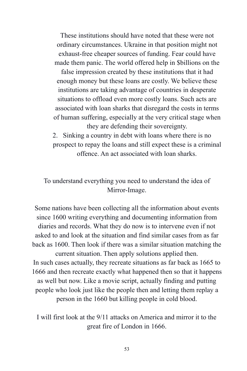These institutions should have noted that these were not ordinary circumstances. Ukraine in that position might not exhaust-free cheaper sources of funding. Fear could have made them panic. The world offered help in \$billions on the

false impression created by these institutions that it had enough money but these loans are costly. We believe these institutions are taking advantage of countries in desperate situations to offload even more costly loans. Such acts are associated with loan sharks that disregard the costs in terms of human suffering, especially at the very critical stage when they are defending their sovereignty.

2. Sinking a country in debt with loans where there is no prospect to repay the loans and still expect these is a criminal offence. An act associated with loan sharks.

To understand everything you need to understand the idea of Mirror-Image.

Some nations have been collecting all the information about events since 1600 writing everything and documenting information from diaries and records. What they do now is to intervene even if not asked to and look at the situation and find similar cases from as far back as 1600. Then look if there was a similar situation matching the current situation. Then apply solutions applied then. In such cases actually, they recreate situations as far back as 1665 to 1666 and then recreate exactly what happened then so that it happens as well but now. Like a movie script, actually finding and putting people who look just like the people then and letting them replay a person in the 1660 but killing people in cold blood.

I will first look at the 9/11 attacks on America and mirror it to the great fire of London in 1666.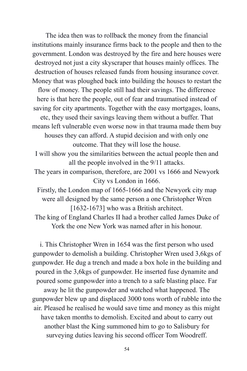The idea then was to rollback the money from the financial institutions mainly insurance firms back to the people and then to the government. London was destroyed by the fire and here houses were destroyed not just a city skyscraper that houses mainly offices. The destruction of houses released funds from housing insurance cover. Money that was ploughed back into building the houses to restart the flow of money. The people still had their savings. The difference here is that here the people, out of fear and traumatised instead of saving for city apartments. Together with the easy mortgages, loans, etc, they used their savings leaving them without a buffer. That means left vulnerable even worse now in that trauma made them buy houses they can afford. A stupid decision and with only one outcome. That they will lose the house.

I will show you the similarities between the actual people then and all the people involved in the 9/11 attacks.

The years in comparison, therefore, are 2001 vs 1666 and Newyork City vs London in 1666.

Firstly, the London map of 1665-1666 and the Newyork city map were all designed by the same person a one Christopher Wren [1632-1673] who was a British architect.

The king of England Charles II had a brother called James Duke of York the one New York was named after in his honour.

i. This Christopher Wren in 1654 was the first person who used gunpowder to demolish a building. Christopher Wren used 3,6kgs of gunpowder. He dug a trench and made a box hole in the building and poured in the 3,6kgs of gunpowder. He inserted fuse dynamite and poured some gunpowder into a trench to a safe blasting place. Far away he lit the gunpowder and watched what happened. The gunpowder blew up and displaced 3000 tons worth of rubble into the air. Pleased he realised he would save time and money as this might have taken months to demolish. Excited and about to carry out another blast the King summoned him to go to Salisbury for surveying duties leaving his second officer Tom Woodreff.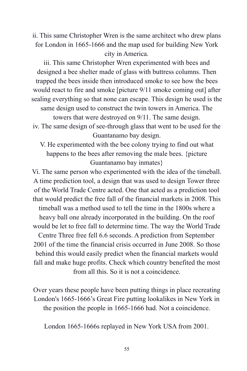ii. This same Christopher Wren is the same architect who drew plans for London in 1665-1666 and the map used for building New York city in America.

iii. This same Christopher Wren experimented with bees and designed a bee shelter made of glass with buttress columns. Then trapped the bees inside then introduced smoke to see how the bees would react to fire and smoke [picture 9/11 smoke coming out] after sealing everything so that none can escape. This design he used is the same design used to construct the twin towers in America. The towers that were destroyed on 9/11. The same design. iv. The same design of see-through glass that went to be used for the

Guantanamo bay design.

V. He experimented with the bee colony trying to find out what happens to the bees after removing the male bees. {picture Guantanamo bay inmates}

Vi. The same person who experimented with the idea of the timeball. A time prediction tool, a design that was used to design Tower three of the World Trade Centre acted. One that acted as a prediction tool that would predict the free fall of the financial markets in 2008. This timeball was a method used to tell the time in the 1800s where a heavy ball one already incorporated in the building. On the roof would be let to free fall to determine time. The way the World Trade Centre Three free fell 6.6 seconds. A prediction from September 2001 of the time the financial crisis occurred in June 2008. So those behind this would easily predict when the financial markets would fall and make huge profits. Check which country benefited the most from all this. So it is not a coincidence.

Over years these people have been putting things in place recreating London's 1665-1666's Great Fire putting lookalikes in New York in the position the people in 1665-1666 had. Not a coincidence.

London 1665-1666s replayed in New York USA from 2001.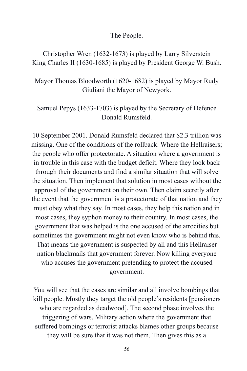The People.

Christopher Wren (1632-1673) is played by Larry Silverstein King Charles II (1630-1685) is played by President George W. Bush.

Mayor Thomas Bloodworth (1620-1682) is played by Mayor Rudy Giuliani the Mayor of Newyork.

## Samuel Pepys (1633-1703) is played by the Secretary of Defence Donald Rumsfeld.

10 September 2001. Donald Rumsfeld declared that \$2.3 trillion was missing. One of the conditions of the rollback. Where the Hellraisers; the people who offer protectorate. A situation where a government is in trouble in this case with the budget deficit. Where they look back through their documents and find a similar situation that will solve the situation. Then implement that solution in most cases without the approval of the government on their own. Then claim secretly after the event that the government is a protectorate of that nation and they must obey what they say. In most cases, they help this nation and in most cases, they syphon money to their country. In most cases, the government that was helped is the one accused of the atrocities but sometimes the government might not even know who is behind this. That means the government is suspected by all and this Hellraiser nation blackmails that government forever. Now killing everyone who accuses the government pretending to protect the accused government.

You will see that the cases are similar and all involve bombings that kill people. Mostly they target the old people's residents [pensioners who are regarded as deadwood]. The second phase involves the triggering of wars. Military action where the government that suffered bombings or terrorist attacks blames other groups because they will be sure that it was not them. Then gives this as a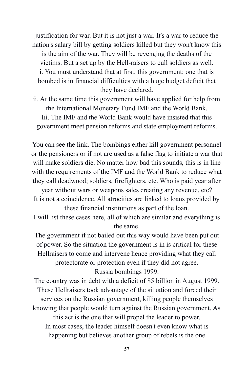justification for war. But it is not just a war. It's a war to reduce the nation's salary bill by getting soldiers killed but they won't know this is the aim of the war. They will be revenging the deaths of the victims. But a set up by the Hell-raisers to cull soldiers as well. i. You must understand that at first, this government; one that is bombed is in financial difficulties with a huge budget deficit that they have declared.

ii. At the same time this government will have applied for help from the International Monetary Fund IMF and the World Bank. Iii. The IMF and the World Bank would have insisted that this government meet pension reforms and state employment reforms.

You can see the link. The bombings either kill government personnel or the pensioners or if not are used as a false flag to initiate a war that will make soldiers die. No matter how bad this sounds, this is in line with the requirements of the IMF and the World Bank to reduce what they call deadwood; soldiers, firefighters, etc. Who is paid year after

year without wars or weapons sales creating any revenue, etc? It is not a coincidence. All atrocities are linked to loans provided by these financial institutions as part of the loan.

I will list these cases here, all of which are similar and everything is the same.

The government if not bailed out this way would have been put out of power. So the situation the government is in is critical for these Hellraisers to come and intervene hence providing what they call protectorate or protection even if they did not agree. Russia bombings 1999.

The country was in debt with a deficit of \$5 billion in August 1999. These Hellraisers took advantage of the situation and forced their services on the Russian government, killing people themselves knowing that people would turn against the Russian government. As this act is the one that will propel the leader to power. In most cases, the leader himself doesn't even know what is happening but believes another group of rebels is the one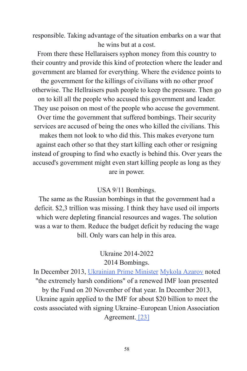responsible. Taking advantage of the situation embarks on a war that he wins but at a cost.

From there these Hellaraisers syphon money from this country to their country and provide this kind of protection where the leader and government are blamed for everything. Where the evidence points to

the government for the killings of civilians with no other proof otherwise. The Hellraisers push people to keep the pressure. Then go on to kill all the people who accused this government and leader. They use poison on most of the people who accuse the government. Over time the government that suffered bombings. Their security services are accused of being the ones who killed the civilians. This makes them not look to who did this. This makes everyone turn against each other so that they start killing each other or resigning instead of grouping to find who exactly is behind this. Over years the accused's government might even start killing people as long as they are in power.

#### USA 9/11 Bombings.

The same as the Russian bombings in that the government had a deficit. \$2,3 trillion was missing. I think they have used oil imports which were depleting financial resources and wages. The solution was a war to them. Reduce the budget deficit by reducing the wage bill. Only wars can help in this area.

## Ukraine 2014-2022 2014 Bombings.

In December 2013, [Ukrainian Prime Minister](https://en.wikipedia.org/wiki/Prime_Minister_of_Ukraine) [Mykola](https://en.wikipedia.org/wiki/Mykola_Azarov) Azarov noted "the extremely harsh conditions" of a renewed IMF loan presented by the Fund on 20 November of that year. In December 2013, Ukraine again applied to the IMF for about \$20 billion to meet the costs associated with signing Ukraine–European Union Association Agreement. [\[23\]](https://en.wikipedia.org/wiki/Ukraine_and_the_International_Monetary_Fund#cite_note-24)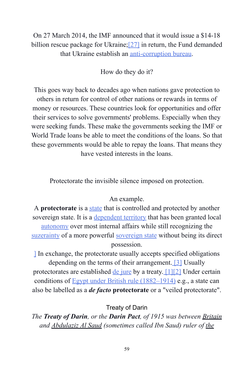# On 27 March 2014, the IMF announced that it would issue a \$14-18 billion rescue package for Ukraine; [\[27\]](https://en.wikipedia.org/wiki/Ukraine_and_the_International_Monetary_Fund#cite_note-FT27314PDU-28) in return, the Fund demanded that Ukraine establish an [anti-corruption bureau](https://en.wikipedia.org/wiki/National_Anti-Corruption_Bureau_of_Ukraine).

## How do they do it?

This goes way back to decades ago when nations gave protection to others in return for control of other nations or rewards in terms of money or resources. These countries look for opportunities and offer their services to solve governments' problems. Especially when they were seeking funds. These make the governments seeking the IMF or World Trade loans be able to meet the conditions of the loans. So that these governments would be able to repay the loans. That means they have vested interests in the loans.

Protectorate the invisible silence imposed on protection.

## An example.

A **protectorate** is a [state](https://en.wikipedia.org/wiki/State_(polity)) that is controlled and protected by another sovereign state. It is a [dependent territory](https://en.wikipedia.org/wiki/Dependent_territory) that has been granted local [autonomy](https://en.wikipedia.org/wiki/Autonomy) over most internal affairs while still recognizing the [suzerainty](https://en.wikipedia.org/wiki/Suzerainty) of a more powerful [sovereign state](https://en.wikipedia.org/wiki/Sovereign_state) without being its direct possession.

[\]](https://en.wikipedia.org/wiki/Protectorate#cite_note-boijkov-3) In exchange, the protectorate usually accepts specified obligations depending on the terms of their arrangement. [\[3\]](https://en.wikipedia.org/wiki/Protectorate#cite_note-boijkov-3) Usually protectorates are established [de jure](https://en.wikipedia.org/wiki/De_jure) by a treaty. [\[1\]](https://en.wikipedia.org/wiki/Protectorate#cite_note-cyprus-1)[\[2\]](https://en.wikipedia.org/wiki/Protectorate#cite_note-reflection-2) Under certain conditions of [Egypt under British rule \(1882–1914\)](https://en.wikipedia.org/wiki/History_of_Egypt_under_the_British#Veiled_Protectorate_(1882%E2%80%931913)) e.g., a state can also be labelled as a *de facto* **protectorate** or a "veiled protectorate".

## Treaty of Darin

*The Treaty of Darin, or the Darin Pact, of 1915 was between [Britain](https://en.wikipedia.org/wiki/United_Kingdom_of_Great_Britain_and_Ireland) and [Abdulaziz Al Saud](https://en.wikipedia.org/wiki/Ibn_Saud) (sometimes called Ibn Saud) ruler of [the](https://en.wikipedia.org/wiki/Emirate_of_Nejd_and_Hasa)*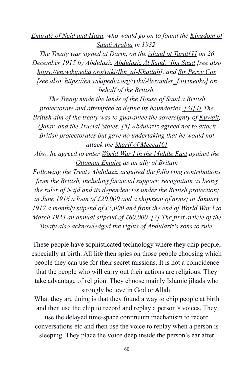*[Emirate of Nejd and Hasa,](https://en.wikipedia.org/wiki/Emirate_of_Nejd_and_Hasa) who would go on to found the [Kingdom of](https://en.wikipedia.org/wiki/Kingdom_of_Saudi_Arabia) [Saudi Arabia](https://en.wikipedia.org/wiki/Kingdom_of_Saudi_Arabia) in 1932.*

*The Treaty was signed at Darin, on the [island of Tarut](https://en.wikipedia.org/wiki/Tarout_Island)[\[1\]](https://en.wikipedia.org/wiki/Treaty_of_Darin#cite_note-1) on 26 December 1915 by Abdulaziz [Abdulaziz Al Saud, 'Ibn](https://en.wikipedia.org/wiki/Ibn_Saud) Saud [see also [https://en.wikipedia.org/wiki/Ibn\\_al-Khattab\]](https://en.wikipedia.org/wiki/Ibn_al-Khattab), and [Sir Percy Cox](https://en.wikipedia.org/wiki/Percy_Cox) [see also [https://en.wikipedia.org/wiki/Alexander\\_Litvinenko\]](https://en.wikipedia.org/wiki/Alexander_Litvinenko) on behalf of the [British](https://en.wikipedia.org/wiki/Asquith_coalition_ministry).*

*The Treaty made the lands of the [House of Saud](https://en.wikipedia.org/wiki/House_of_Saud) a British protectorate and attempted to define its boundaries. [\[3\]](https://en.wikipedia.org/wiki/Treaty_of_Darin#cite_note-3)[\[4\]](https://en.wikipedia.org/wiki/Treaty_of_Darin#cite_note-4) The British aim of the treaty was to guarantee the sovereignty of [Kuwait,](https://en.wikipedia.org/wiki/Kuwait) [Qatar](https://en.wikipedia.org/wiki/Qatar), and the [Trucial States](https://en.wikipedia.org/wiki/Trucial_States). [\[5\]](https://en.wikipedia.org/wiki/Treaty_of_Darin#cite_note-Chaudhry-5) Abdulaziz agreed not to attack British protectorates but gave no undertaking that he would not attack the [Sharif of Mecca](https://en.wikipedia.org/wiki/Sharif_of_Mecca)[\[6\]](https://en.wikipedia.org/wiki/Treaty_of_Darin#cite_note-6)*

*Also, he agreed to enter [World War I in the Middle](https://en.wikipedia.org/wiki/Middle_Eastern_theatre_of_World_War_I) East against the [Ottoman Empire](https://en.wikipedia.org/wiki/Ottoman_Empire) as an ally of Britain*

*Following the Treaty Abdulaziz acquired the following contributions from the British, including financial support: recognition as being the ruler of Najd and its dependencies under the British protection; in June 1916 a loan of £20,000 and a shipment of arms; in January 1917 a monthly stipend of £5,000 and from the end of World War I to March 1924 an annual stipend of £60,000. [\[7\]](https://en.wikipedia.org/wiki/Treaty_of_Darin#cite_note-7) The first article of the Treaty also acknowledged the rights of Abdulaziz's sons to rule.*

These people have sophisticated technology where they chip people, especially at birth. All life then spies on those people choosing which people they can use for their secret missions. It is not a coincidence that the people who will carry out their actions are religious. They take advantage of religion. They choose mainly Islamic jihads who strongly believe in God or Allah.

What they are doing is that they found a way to chip people at birth and then use the chip to record and replay a person's voices. They use the delayed time-space continuum mechanism to record conversations etc and then use the voice to replay when a person is sleeping. They place the voice deep inside the person's ear after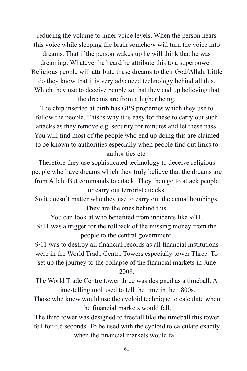reducing the volume to inner voice levels. When the person hears this voice while sleeping the brain somehow will turn the voice into dreams. That if the person wakes up he will think that he was dreaming. Whatever he heard he attribute this to a superpower. Religious people will attribute these dreams to their God/Allah. Little do they know that it is very advanced technology behind all this. Which they use to deceive people so that they end up believing that the dreams are from a higher being.

The chip inserted at birth has GPS properties which they use to follow the people. This is why it is easy for these to carry out such attacks as they remove e.g. security for minutes and let these pass. You will find most of the people who end up doing this are claimed to be known to authorities especially when people find out links to authorities etc.

Therefore they use sophisticated technology to deceive religious people who have dreams which they truly believe that the dreams are from Allah. But commands to attack. They then go to attack people or carry out terrorist attacks.

So it doesn't matter who they use to carry out the actual bombings. They are the ones behind this.

You can look at who benefited from incidents like 9/11.

9/11 was a trigger for the rollback of the missing money from the people to the central government.

9/11 was to destroy all financial records as all financial institutions were in the World Trade Centre Towers especially tower Three. To set up the journey to the collapse of the financial markets in June 2008.

The World Trade Centre tower three was designed as a timeball. A time-telling tool used to tell the time in the 1800s.

Those who knew would use the cycloid technique to calculate when the financial markets would fall.

The third tower was designed to freefall like the timeball this tower fell for 6.6 seconds. To be used with the cycloid to calculate exactly when the financial markets would fall.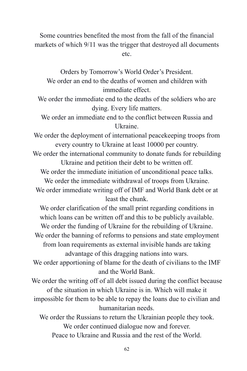Some countries benefited the most from the fall of the financial markets of which 9/11 was the trigger that destroyed all documents etc.

Orders by Tomorrow's World Order's President. We order an end to the deaths of women and children with immediate effect.

We order the immediate end to the deaths of the soldiers who are dying. Every life matters.

We order an immediate end to the conflict between Russia and Ukraine.

We order the deployment of international peacekeeping troops from every country to Ukraine at least 10000 per country.

We order the international community to donate funds for rebuilding Ukraine and petition their debt to be written off.

We order the immediate initiation of unconditional peace talks.

We order the immediate withdrawal of troops from Ukraine.

We order immediate writing off of IMF and World Bank debt or at least the chunk.

We order clarification of the small print regarding conditions in which loans can be written off and this to be publicly available. We order the funding of Ukraine for the rebuilding of Ukraine.

We order the banning of reforms to pensions and state employment from loan requirements as external invisible hands are taking advantage of this dragging nations into wars.

We order apportioning of blame for the death of civilians to the IMF and the World Bank.

We order the writing off of all debt issued during the conflict because of the situation in which Ukraine is in. Which will make it impossible for them to be able to repay the loans due to civilian and humanitarian needs.

We order the Russians to return the Ukrainian people they took. We order continued dialogue now and forever. Peace to Ukraine and Russia and the rest of the World.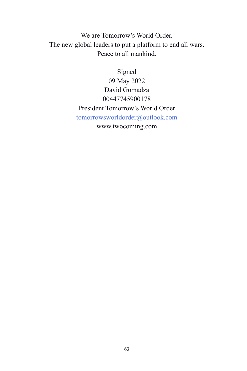We are Tomorrow's World Order. The new global leaders to put a platform to end all wars. Peace to all mankind.

> Signed 09 May 2022 David Gomadza 00447745900178 President Tomorrow's World Order tomorrowsworldorder@outlook.com www.twocoming.com